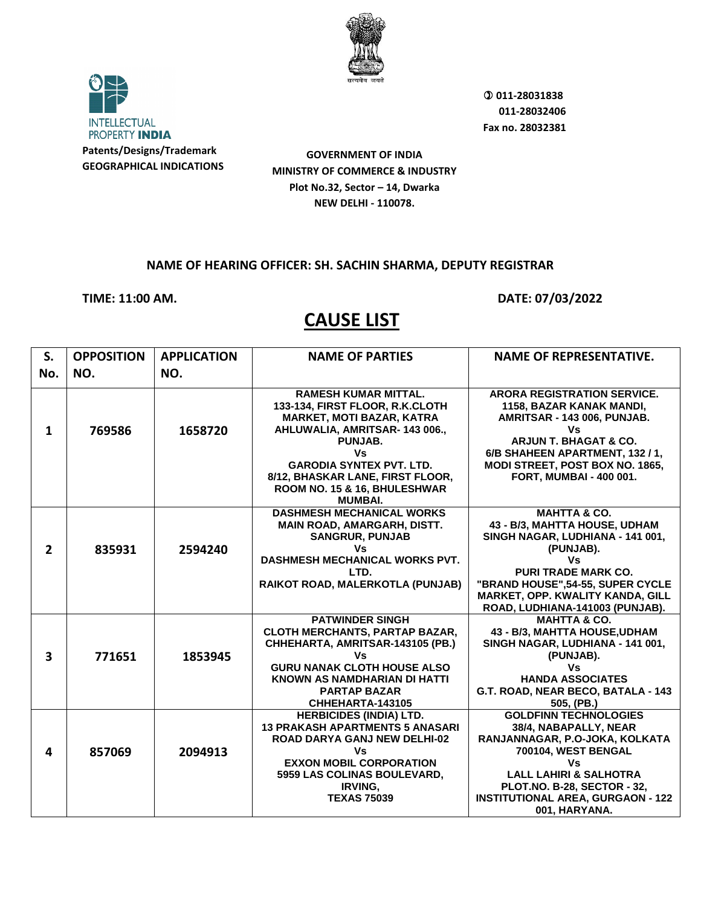

**INTELLECTUAL** PROPERTY INDIA **Patents/Designs/Trademark**

**GEOGRAPHICAL INDICATIONS**

**GOVERNMENT OF INDIA MINISTRY OF COMMERCE & INDUSTRY Plot No.32, Sector – 14, Dwarka NEW DELHI - 110078.**

## **NAME OF HEARING OFFICER: SH. SACHIN SHARMA, DEPUTY REGISTRAR**

**TIME: 11:00 AM. DATE: 07/03/2022** 

| S.             | <b>OPPOSITION</b> | <b>APPLICATION</b> | <b>NAME OF PARTIES</b>                                                                                                                                                                                                     | <b>NAME OF REPRESENTATIVE.</b>                                                                                                                                                                                                                            |
|----------------|-------------------|--------------------|----------------------------------------------------------------------------------------------------------------------------------------------------------------------------------------------------------------------------|-----------------------------------------------------------------------------------------------------------------------------------------------------------------------------------------------------------------------------------------------------------|
| No.            | NO.               | NO.                |                                                                                                                                                                                                                            |                                                                                                                                                                                                                                                           |
| $\mathbf{1}$   | 769586            | 1658720            | <b>RAMESH KUMAR MITTAL.</b><br>133-134, FIRST FLOOR, R.K.CLOTH<br><b>MARKET, MOTI BAZAR, KATRA</b><br>AHLUWALIA, AMRITSAR- 143 006.,<br>PUNJAB.                                                                            | <b>ARORA REGISTRATION SERVICE.</b><br>1158, BAZAR KANAK MANDI,<br>AMRITSAR - 143 006, PUNJAB.<br>Vs<br><b>ARJUN T. BHAGAT &amp; CO.</b>                                                                                                                   |
|                |                   |                    | Vs<br><b>GARODIA SYNTEX PVT. LTD.</b><br>8/12, BHASKAR LANE, FIRST FLOOR,<br>ROOM NO. 15 & 16, BHULESHWAR<br><b>MUMBAI.</b>                                                                                                | 6/B SHAHEEN APARTMENT, 132 / 1,<br>MODI STREET, POST BOX NO. 1865,<br><b>FORT, MUMBAI - 400 001.</b>                                                                                                                                                      |
| $\overline{2}$ | 835931            | 2594240            | <b>DASHMESH MECHANICAL WORKS</b><br><b>MAIN ROAD, AMARGARH, DISTT.</b><br><b>SANGRUR, PUNJAB</b><br>Vs<br><b>DASHMESH MECHANICAL WORKS PVT.</b><br>LTD.<br>RAIKOT ROAD, MALERKOTLA (PUNJAB)                                | <b>MAHTTA &amp; CO.</b><br>43 - B/3, MAHTTA HOUSE, UDHAM<br>SINGH NAGAR, LUDHIANA - 141 001,<br>(PUNJAB).<br>Vs<br><b>PURI TRADE MARK CO.</b><br>"BRAND HOUSE", 54-55, SUPER CYCLE<br>MARKET, OPP. KWALITY KANDA, GILL<br>ROAD, LUDHIANA-141003 (PUNJAB). |
| 3              | 771651            | 1853945            | <b>PATWINDER SINGH</b><br><b>CLOTH MERCHANTS, PARTAP BAZAR,</b><br>CHHEHARTA, AMRITSAR-143105 (PB.)<br>Vs<br><b>GURU NANAK CLOTH HOUSE ALSO</b><br>KNOWN AS NAMDHARIAN DI HATTI<br><b>PARTAP BAZAR</b><br>CHHEHARTA-143105 | <b>MAHTTA &amp; CO.</b><br>43 - B/3, MAHTTA HOUSE,UDHAM<br>SINGH NAGAR, LUDHIANA - 141 001,<br>(PUNJAB).<br>Vs<br><b>HANDA ASSOCIATES</b><br>G.T. ROAD, NEAR BECO, BATALA - 143<br>505, (PB.)                                                             |
| 4              | 857069            | 2094913            | <b>HERBICIDES (INDIA) LTD.</b><br><b>13 PRAKASH APARTMENTS 5 ANASARI</b><br>ROAD DARYA GANJ NEW DELHI-02<br>Vs<br><b>EXXON MOBIL CORPORATION</b><br>5959 LAS COLINAS BOULEVARD,<br>IRVING,<br><b>TEXAS 75039</b>           | <b>GOLDFINN TECHNOLOGIES</b><br>38/4, NABAPALLY, NEAR<br>RANJANNAGAR, P.O-JOKA, KOLKATA<br>700104, WEST BENGAL<br>Vs<br><b>LALL LAHIRI &amp; SALHOTRA</b><br>PLOT.NO. B-28, SECTOR - 32,<br><b>INSTITUTIONAL AREA, GURGAON - 122</b><br>001, HARYANA.     |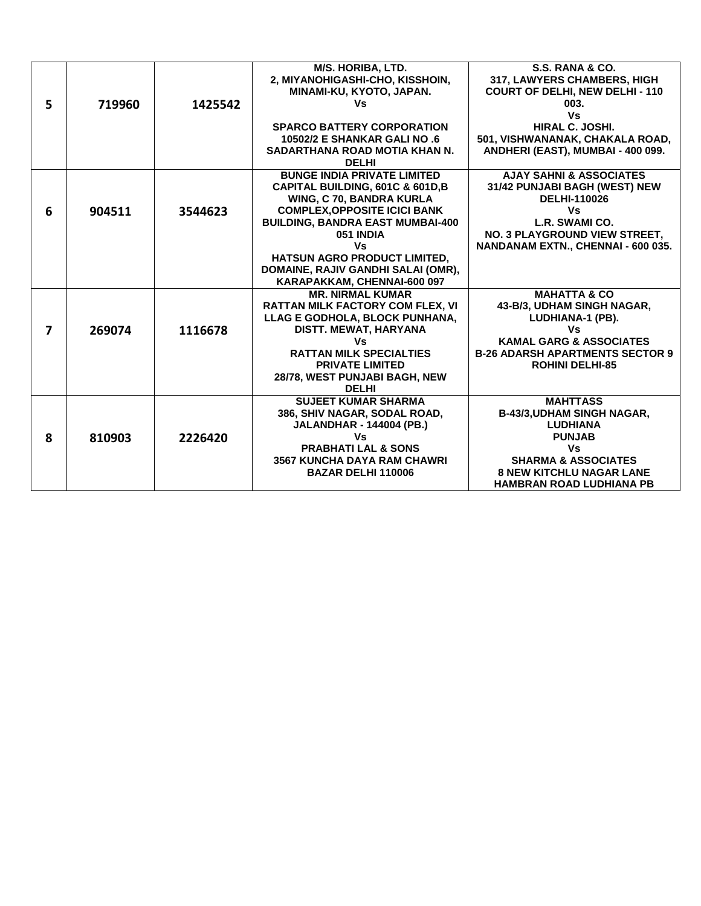|   |        |         | M/S. HORIBA, LTD.                       | S.S. RANA & CO.                        |
|---|--------|---------|-----------------------------------------|----------------------------------------|
|   |        |         | 2, MIYANOHIGASHI-CHO, KISSHOIN,         | 317, LAWYERS CHAMBERS, HIGH            |
|   |        |         | MINAMI-KU, KYOTO, JAPAN.                | <b>COURT OF DELHI, NEW DELHI - 110</b> |
| 5 | 719960 | 1425542 | Vs                                      | 003.                                   |
|   |        |         |                                         | Vs                                     |
|   |        |         | <b>SPARCO BATTERY CORPORATION</b>       | HIRAL C. JOSHI.                        |
|   |        |         | <b>10502/2 E SHANKAR GALI NO .6</b>     | 501, VISHWANANAK, CHAKALA ROAD,        |
|   |        |         | SADARTHANA ROAD MOTIA KHAN N.           | ANDHERI (EAST), MUMBAI - 400 099.      |
|   |        |         | <b>DELHI</b>                            |                                        |
|   |        |         | <b>BUNGE INDIA PRIVATE LIMITED</b>      | <b>AJAY SAHNI &amp; ASSOCIATES</b>     |
|   |        |         | CAPITAL BUILDING, 601C & 601D, B        | 31/42 PUNJABI BAGH (WEST) NEW          |
|   |        |         | WING, C 70, BANDRA KURLA                | <b>DELHI-110026</b>                    |
| 6 | 904511 | 3544623 | <b>COMPLEX, OPPOSITE ICICI BANK</b>     | Vs                                     |
|   |        |         | <b>BUILDING, BANDRA EAST MUMBAI-400</b> | L.R. SWAMI CO.                         |
|   |        |         | 051 INDIA                               | NO. 3 PLAYGROUND VIEW STREET.          |
|   |        |         | Vs                                      | NANDANAM EXTN., CHENNAI - 600 035.     |
|   |        |         | <b>HATSUN AGRO PRODUCT LIMITED.</b>     |                                        |
|   |        |         | DOMAINE, RAJIV GANDHI SALAI (OMR),      |                                        |
|   |        |         | KARAPAKKAM, CHENNAI-600 097             |                                        |
|   |        |         | <b>MR. NIRMAL KUMAR</b>                 | <b>MAHATTA &amp; CO</b>                |
|   |        |         | <b>RATTAN MILK FACTORY COM FLEX. VI</b> | 43-B/3, UDHAM SINGH NAGAR,             |
|   |        |         | LLAG E GODHOLA, BLOCK PUNHANA,          | LUDHIANA-1 (PB).                       |
| 7 | 269074 | 1116678 | DISTT. MEWAT, HARYANA                   | Vs                                     |
|   |        |         | Vs                                      | <b>KAMAL GARG &amp; ASSOCIATES</b>     |
|   |        |         | <b>RATTAN MILK SPECIALTIES</b>          | <b>B-26 ADARSH APARTMENTS SECTOR 9</b> |
|   |        |         | <b>PRIVATE LIMITED</b>                  | <b>ROHINI DELHI-85</b>                 |
|   |        |         | 28/78, WEST PUNJABI BAGH, NEW           |                                        |
|   |        |         | <b>DELHI</b>                            |                                        |
|   |        |         | <b>SUJEET KUMAR SHARMA</b>              | <b>MAHTTASS</b>                        |
|   |        |         | 386, SHIV NAGAR, SODAL ROAD,            | <b>B-43/3, UDHAM SINGH NAGAR,</b>      |
|   |        |         | <b>JALANDHAR - 144004 (PB.)</b>         | <b>LUDHIANA</b>                        |
| 8 | 810903 | 2226420 | Vs                                      | <b>PUNJAB</b>                          |
|   |        |         | <b>PRABHATI LAL &amp; SONS</b>          | Vs                                     |
|   |        |         | <b>3567 KUNCHA DAYA RAM CHAWRI</b>      | <b>SHARMA &amp; ASSOCIATES</b>         |
|   |        |         | <b>BAZAR DELHI 110006</b>               | <b>8 NEW KITCHLU NAGAR LANE</b>        |
|   |        |         |                                         | <b>HAMBRAN ROAD LUDHIANA PB</b>        |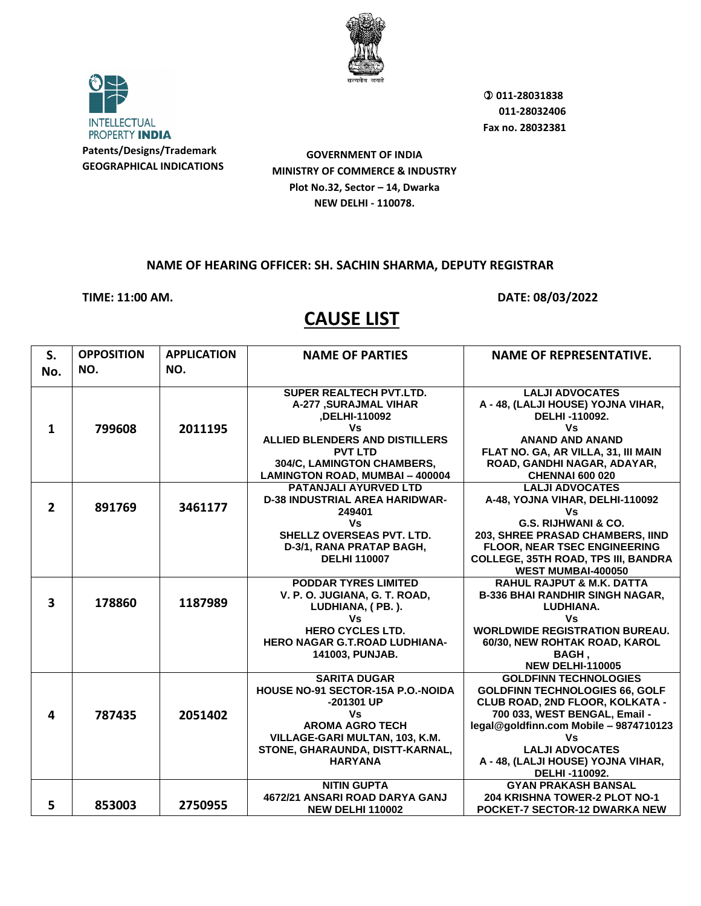



**GEOGRAPHICAL INDICATIONS**

**GOVERNMENT OF INDIA MINISTRY OF COMMERCE & INDUSTRY Plot No.32, Sector – 14, Dwarka NEW DELHI - 110078.**

### **NAME OF HEARING OFFICER: SH. SACHIN SHARMA, DEPUTY REGISTRAR**

**TIME: 11:00 AM. DATE: 08/03/2022** 

| S.                      | <b>OPPOSITION</b> | <b>APPLICATION</b> | <b>NAME OF PARTIES</b>                                            | <b>NAME OF REPRESENTATIVE.</b>                        |
|-------------------------|-------------------|--------------------|-------------------------------------------------------------------|-------------------------------------------------------|
| No.                     | NO.               | NO.                |                                                                   |                                                       |
|                         |                   |                    |                                                                   |                                                       |
|                         |                   |                    | <b>SUPER REALTECH PVT.LTD.</b>                                    | <b>LALJI ADVOCATES</b>                                |
|                         |                   |                    | <b>A-277 ,SURAJMAL VIHAR</b>                                      | A - 48, (LALJI HOUSE) YOJNA VIHAR,                    |
|                         |                   |                    | ,DELHI-110092                                                     | DELHI-110092.                                         |
| $\mathbf{1}$            | 799608            | 2011195            | Vs                                                                | <b>Vs</b>                                             |
|                         |                   |                    | ALLIED BLENDERS AND DISTILLERS                                    | <b>ANAND AND ANAND</b>                                |
|                         |                   |                    | <b>PVT LTD</b><br>304/C, LAMINGTON CHAMBERS,                      | FLAT NO. GA, AR VILLA, 31, III MAIN                   |
|                         |                   |                    |                                                                   | ROAD, GANDHI NAGAR, ADAYAR,<br><b>CHENNAI 600 020</b> |
|                         |                   |                    | <b>LAMINGTON ROAD, MUMBAI - 400004</b><br>PATANJALI AYURVED LTD   | <b>LALJI ADVOCATES</b>                                |
|                         |                   |                    | <b>D-38 INDUSTRIAL AREA HARIDWAR-</b>                             | A-48, YOJNA VIHAR, DELHI-110092                       |
| $\overline{2}$          | 891769            | 3461177            | 249401                                                            | ٧s                                                    |
|                         |                   |                    | Vs                                                                | G.S. RIJHWANI & CO.                                   |
|                         |                   |                    | <b>SHELLZ OVERSEAS PVT. LTD.</b>                                  | 203, SHREE PRASAD CHAMBERS, IIND                      |
|                         |                   |                    | D-3/1, RANA PRATAP BAGH,                                          | FLOOR, NEAR TSEC ENGINEERING                          |
|                         |                   |                    | <b>DELHI 110007</b>                                               | <b>COLLEGE, 35TH ROAD, TPS III, BANDRA</b>            |
|                         |                   |                    |                                                                   | <b>WEST MUMBAI-400050</b>                             |
|                         |                   |                    | <b>PODDAR TYRES LIMITED</b>                                       | <b>RAHUL RAJPUT &amp; M.K. DATTA</b>                  |
|                         |                   |                    | V. P. O. JUGIANA, G. T. ROAD,                                     | <b>B-336 BHAI RANDHIR SINGH NAGAR,</b>                |
| $\overline{\mathbf{3}}$ | 178860            | 1187989            | LUDHIANA, (PB.).                                                  | LUDHIANA.                                             |
|                         |                   |                    | Vs                                                                | <b>Vs</b>                                             |
|                         |                   |                    | <b>HERO CYCLES LTD.</b>                                           | <b>WORLDWIDE REGISTRATION BUREAU.</b>                 |
|                         |                   |                    | <b>HERO NAGAR G.T.ROAD LUDHIANA-</b>                              | 60/30, NEW ROHTAK ROAD, KAROL                         |
|                         |                   |                    | 141003, PUNJAB.                                                   | BAGH,                                                 |
|                         |                   |                    |                                                                   | <b>NEW DELHI-110005</b>                               |
|                         |                   |                    | <b>SARITA DUGAR</b>                                               | <b>GOLDFINN TECHNOLOGIES</b>                          |
|                         |                   |                    | HOUSE NO-91 SECTOR-15A P.O.-NOIDA                                 | <b>GOLDFINN TECHNOLOGIES 66, GOLF</b>                 |
|                         |                   |                    | -201301 UP                                                        | CLUB ROAD, 2ND FLOOR, KOLKATA -                       |
| 4                       | 787435            | 2051402            | Vs<br><b>AROMA AGRO TECH</b>                                      | 700 033, WEST BENGAL, Email -                         |
|                         |                   |                    |                                                                   | legal@goldfinn.com Mobile - 9874710123<br>Vs          |
|                         |                   |                    | VILLAGE-GARI MULTAN, 103, K.M.<br>STONE, GHARAUNDA, DISTT-KARNAL, | <b>LALJI ADVOCATES</b>                                |
|                         |                   |                    | <b>HARYANA</b>                                                    | A - 48, (LALJI HOUSE) YOJNA VIHAR,                    |
|                         |                   |                    |                                                                   | DELHI-110092.                                         |
|                         |                   |                    | <b>NITIN GUPTA</b>                                                | <b>GYAN PRAKASH BANSAL</b>                            |
|                         |                   |                    | 4672/21 ANSARI ROAD DARYA GANJ                                    | <b>204 KRISHNA TOWER-2 PLOT NO-1</b>                  |
| 5                       | 853003            | 2750955            | <b>NEW DELHI 110002</b>                                           | <b>POCKET-7 SECTOR-12 DWARKA NEW</b>                  |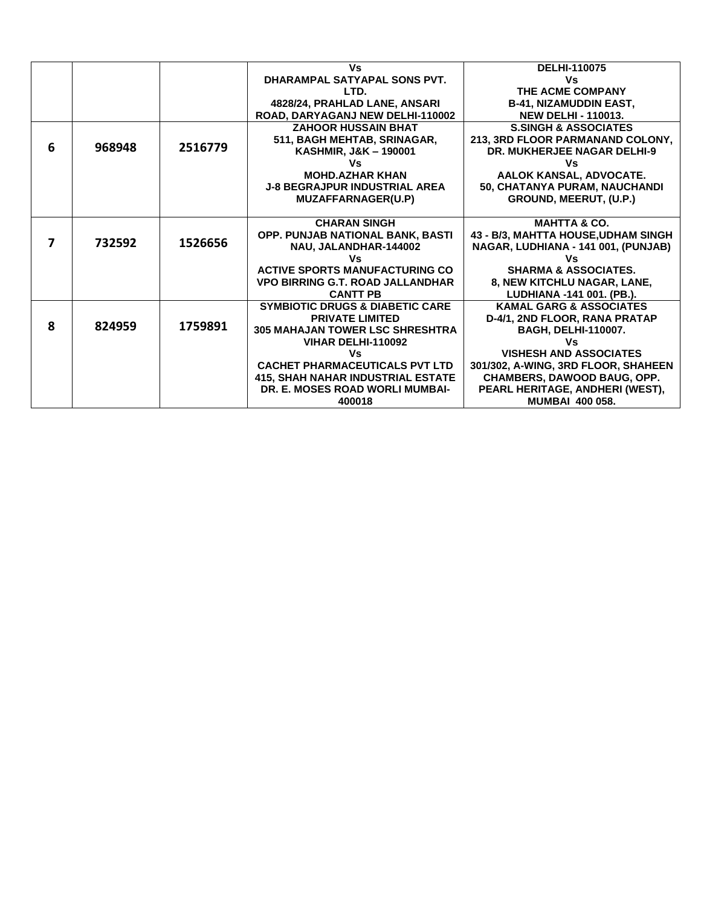|   |        |         | Vs                                         | <b>DELHI-110075</b>                 |
|---|--------|---------|--------------------------------------------|-------------------------------------|
|   |        |         | DHARAMPAL SATYAPAL SONS PVT.               | Vs                                  |
|   |        |         |                                            |                                     |
|   |        |         | LTD.                                       | THE ACME COMPANY                    |
|   |        |         | 4828/24, PRAHLAD LANE, ANSARI              | <b>B-41, NIZAMUDDIN EAST,</b>       |
|   |        |         | ROAD, DARYAGANJ NEW DELHI-110002           | <b>NEW DELHI - 110013.</b>          |
|   |        |         | <b>ZAHOOR HUSSAIN BHAT</b>                 | <b>S.SINGH &amp; ASSOCIATES</b>     |
|   |        |         | 511, BAGH MEHTAB, SRINAGAR,                | 213, 3RD FLOOR PARMANAND COLONY,    |
| 6 | 968948 | 2516779 | KASHMIR, J&K - 190001                      | <b>DR. MUKHERJEE NAGAR DELHI-9</b>  |
|   |        |         | Vs                                         | Vs                                  |
|   |        |         | <b>MOHD.AZHAR KHAN</b>                     | AALOK KANSAL, ADVOCATE.             |
|   |        |         | <b>J-8 BEGRAJPUR INDUSTRIAL AREA</b>       | 50, CHATANYA PURAM, NAUCHANDI       |
|   |        |         | MUZAFFARNAGER(U.P)                         | GROUND, MEERUT, (U.P.)              |
|   |        |         |                                            |                                     |
|   |        |         | <b>CHARAN SINGH</b>                        | <b>MAHTTA &amp; CO.</b>             |
|   |        |         | OPP. PUNJAB NATIONAL BANK, BASTI           | 43 - B/3, MAHTTA HOUSE, UDHAM SINGH |
| 7 | 732592 | 1526656 | NAU, JALANDHAR-144002                      | NAGAR, LUDHIANA - 141 001, (PUNJAB) |
|   |        |         | Vs                                         | Vs                                  |
|   |        |         | <b>ACTIVE SPORTS MANUFACTURING CO</b>      | <b>SHARMA &amp; ASSOCIATES.</b>     |
|   |        |         | <b>VPO BIRRING G.T. ROAD JALLANDHAR</b>    |                                     |
|   |        |         | <b>CANTT PB</b>                            | 8, NEW KITCHLU NAGAR, LANE,         |
|   |        |         |                                            | LUDHIANA -141 001. (PB.).           |
|   |        |         | <b>SYMBIOTIC DRUGS &amp; DIABETIC CARE</b> | <b>KAMAL GARG &amp; ASSOCIATES</b>  |
| 8 | 824959 | 1759891 | <b>PRIVATE LIMITED</b>                     | D-4/1, 2ND FLOOR, RANA PRATAP       |
|   |        |         | <b>305 MAHAJAN TOWER LSC SHRESHTRA</b>     | <b>BAGH, DELHI-110007.</b>          |
|   |        |         | VIHAR DELHI-110092                         | Vs                                  |
|   |        |         | Vs                                         | <b>VISHESH AND ASSOCIATES</b>       |
|   |        |         | <b>CACHET PHARMACEUTICALS PVT LTD</b>      | 301/302, A-WING, 3RD FLOOR, SHAHEEN |
|   |        |         | <b>415. SHAH NAHAR INDUSTRIAL ESTATE</b>   | CHAMBERS, DAWOOD BAUG, OPP.         |
|   |        |         | DR. E. MOSES ROAD WORLI MUMBAI-            | PEARL HERITAGE, ANDHERI (WEST),     |
|   |        |         | 400018                                     | <b>MUMBAI 400 058.</b>              |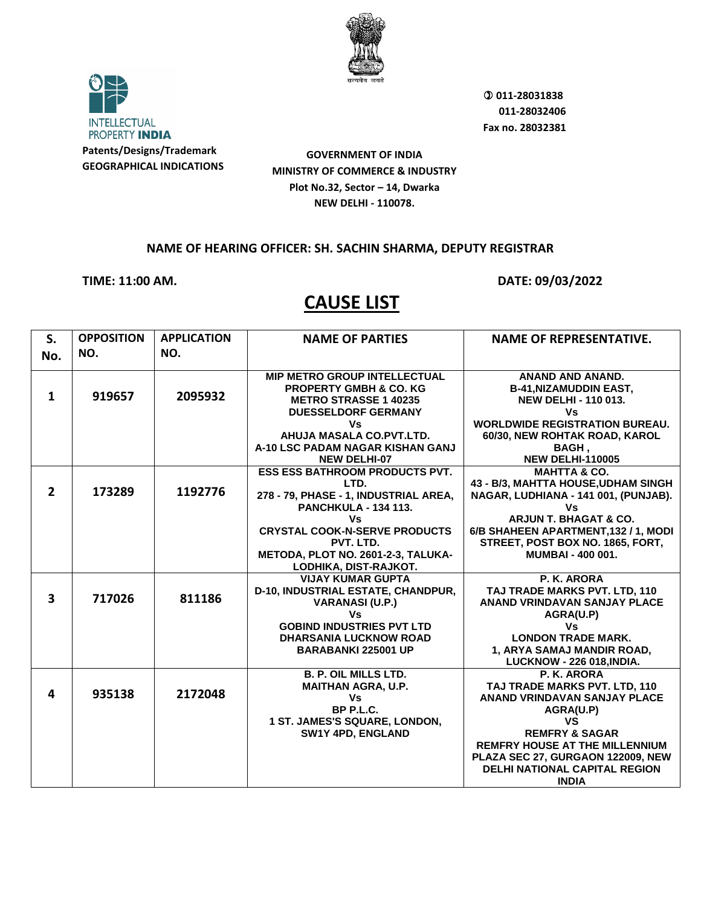

**INTELLECTUAL** PROPERTY INDIA **Patents/Designs/Trademark**

**GEOGRAPHICAL INDICATIONS**

**GOVERNMENT OF INDIA MINISTRY OF COMMERCE & INDUSTRY Plot No.32, Sector – 14, Dwarka NEW DELHI - 110078.**

#### **NAME OF HEARING OFFICER: SH. SACHIN SHARMA, DEPUTY REGISTRAR**

## **TIME: 11:00 AM. DATE: 09/03/2022**

| S.                      | <b>OPPOSITION</b> | <b>APPLICATION</b> | <b>NAME OF PARTIES</b>                                                                                                                                                                                                                                                                                                                                                                                                                                                                          | NAME OF REPRESENTATIVE.                                                                                                                                                                                                                                                                                                                                                                                                                                                                                                                                                                                                       |
|-------------------------|-------------------|--------------------|-------------------------------------------------------------------------------------------------------------------------------------------------------------------------------------------------------------------------------------------------------------------------------------------------------------------------------------------------------------------------------------------------------------------------------------------------------------------------------------------------|-------------------------------------------------------------------------------------------------------------------------------------------------------------------------------------------------------------------------------------------------------------------------------------------------------------------------------------------------------------------------------------------------------------------------------------------------------------------------------------------------------------------------------------------------------------------------------------------------------------------------------|
| No.                     | NO.               | NO.                |                                                                                                                                                                                                                                                                                                                                                                                                                                                                                                 |                                                                                                                                                                                                                                                                                                                                                                                                                                                                                                                                                                                                                               |
|                         |                   |                    |                                                                                                                                                                                                                                                                                                                                                                                                                                                                                                 |                                                                                                                                                                                                                                                                                                                                                                                                                                                                                                                                                                                                                               |
|                         |                   |                    | <b>MIP METRO GROUP INTELLECTUAL</b>                                                                                                                                                                                                                                                                                                                                                                                                                                                             | ANAND AND ANAND.                                                                                                                                                                                                                                                                                                                                                                                                                                                                                                                                                                                                              |
| $\mathbf{1}$            | 919657            | 2095932            | <b>PROPERTY GMBH &amp; CO. KG</b>                                                                                                                                                                                                                                                                                                                                                                                                                                                               | <b>B-41, NIZAMUDDIN EAST,</b>                                                                                                                                                                                                                                                                                                                                                                                                                                                                                                                                                                                                 |
|                         |                   |                    | <b>METRO STRASSE 1 40235</b>                                                                                                                                                                                                                                                                                                                                                                                                                                                                    | <b>NEW DELHI - 110 013.</b>                                                                                                                                                                                                                                                                                                                                                                                                                                                                                                                                                                                                   |
|                         |                   |                    | <b>DUESSELDORF GERMANY</b>                                                                                                                                                                                                                                                                                                                                                                                                                                                                      | Vs                                                                                                                                                                                                                                                                                                                                                                                                                                                                                                                                                                                                                            |
|                         |                   |                    | Vs                                                                                                                                                                                                                                                                                                                                                                                                                                                                                              | <b>WORLDWIDE REGISTRATION BUREAU.</b>                                                                                                                                                                                                                                                                                                                                                                                                                                                                                                                                                                                         |
|                         |                   |                    | AHUJA MASALA CO.PVT.LTD.                                                                                                                                                                                                                                                                                                                                                                                                                                                                        | 60/30, NEW ROHTAK ROAD, KAROL                                                                                                                                                                                                                                                                                                                                                                                                                                                                                                                                                                                                 |
|                         |                   |                    | A-10 LSC PADAM NAGAR KISHAN GANJ                                                                                                                                                                                                                                                                                                                                                                                                                                                                | <b>BAGH,</b>                                                                                                                                                                                                                                                                                                                                                                                                                                                                                                                                                                                                                  |
|                         |                   |                    | <b>NEW DELHI-07</b>                                                                                                                                                                                                                                                                                                                                                                                                                                                                             | <b>NEW DELHI-110005</b>                                                                                                                                                                                                                                                                                                                                                                                                                                                                                                                                                                                                       |
|                         |                   |                    | <b>ESS ESS BATHROOM PRODUCTS PVT.</b>                                                                                                                                                                                                                                                                                                                                                                                                                                                           | <b>MAHTTA &amp; CO.</b>                                                                                                                                                                                                                                                                                                                                                                                                                                                                                                                                                                                                       |
| $\overline{2}$          | 173289            | 1192776            | LTD.                                                                                                                                                                                                                                                                                                                                                                                                                                                                                            | 43 - B/3, MAHTTA HOUSE, UDHAM SINGH                                                                                                                                                                                                                                                                                                                                                                                                                                                                                                                                                                                           |
|                         |                   |                    | 278 - 79, PHASE - 1, INDUSTRIAL AREA,                                                                                                                                                                                                                                                                                                                                                                                                                                                           | NAGAR, LUDHIANA - 141 001, (PUNJAB).                                                                                                                                                                                                                                                                                                                                                                                                                                                                                                                                                                                          |
|                         |                   |                    |                                                                                                                                                                                                                                                                                                                                                                                                                                                                                                 |                                                                                                                                                                                                                                                                                                                                                                                                                                                                                                                                                                                                                               |
|                         |                   |                    |                                                                                                                                                                                                                                                                                                                                                                                                                                                                                                 |                                                                                                                                                                                                                                                                                                                                                                                                                                                                                                                                                                                                                               |
|                         |                   |                    |                                                                                                                                                                                                                                                                                                                                                                                                                                                                                                 |                                                                                                                                                                                                                                                                                                                                                                                                                                                                                                                                                                                                                               |
|                         |                   |                    |                                                                                                                                                                                                                                                                                                                                                                                                                                                                                                 |                                                                                                                                                                                                                                                                                                                                                                                                                                                                                                                                                                                                                               |
|                         |                   |                    |                                                                                                                                                                                                                                                                                                                                                                                                                                                                                                 |                                                                                                                                                                                                                                                                                                                                                                                                                                                                                                                                                                                                                               |
|                         |                   |                    |                                                                                                                                                                                                                                                                                                                                                                                                                                                                                                 |                                                                                                                                                                                                                                                                                                                                                                                                                                                                                                                                                                                                                               |
|                         |                   |                    |                                                                                                                                                                                                                                                                                                                                                                                                                                                                                                 |                                                                                                                                                                                                                                                                                                                                                                                                                                                                                                                                                                                                                               |
|                         |                   |                    |                                                                                                                                                                                                                                                                                                                                                                                                                                                                                                 |                                                                                                                                                                                                                                                                                                                                                                                                                                                                                                                                                                                                                               |
|                         |                   |                    |                                                                                                                                                                                                                                                                                                                                                                                                                                                                                                 |                                                                                                                                                                                                                                                                                                                                                                                                                                                                                                                                                                                                                               |
|                         |                   |                    |                                                                                                                                                                                                                                                                                                                                                                                                                                                                                                 |                                                                                                                                                                                                                                                                                                                                                                                                                                                                                                                                                                                                                               |
|                         |                   |                    |                                                                                                                                                                                                                                                                                                                                                                                                                                                                                                 |                                                                                                                                                                                                                                                                                                                                                                                                                                                                                                                                                                                                                               |
|                         |                   |                    |                                                                                                                                                                                                                                                                                                                                                                                                                                                                                                 |                                                                                                                                                                                                                                                                                                                                                                                                                                                                                                                                                                                                                               |
|                         |                   |                    |                                                                                                                                                                                                                                                                                                                                                                                                                                                                                                 |                                                                                                                                                                                                                                                                                                                                                                                                                                                                                                                                                                                                                               |
|                         |                   |                    |                                                                                                                                                                                                                                                                                                                                                                                                                                                                                                 |                                                                                                                                                                                                                                                                                                                                                                                                                                                                                                                                                                                                                               |
|                         |                   |                    |                                                                                                                                                                                                                                                                                                                                                                                                                                                                                                 |                                                                                                                                                                                                                                                                                                                                                                                                                                                                                                                                                                                                                               |
| 4                       |                   |                    |                                                                                                                                                                                                                                                                                                                                                                                                                                                                                                 |                                                                                                                                                                                                                                                                                                                                                                                                                                                                                                                                                                                                                               |
|                         |                   |                    |                                                                                                                                                                                                                                                                                                                                                                                                                                                                                                 |                                                                                                                                                                                                                                                                                                                                                                                                                                                                                                                                                                                                                               |
|                         |                   |                    |                                                                                                                                                                                                                                                                                                                                                                                                                                                                                                 |                                                                                                                                                                                                                                                                                                                                                                                                                                                                                                                                                                                                                               |
|                         |                   |                    |                                                                                                                                                                                                                                                                                                                                                                                                                                                                                                 |                                                                                                                                                                                                                                                                                                                                                                                                                                                                                                                                                                                                                               |
|                         |                   |                    |                                                                                                                                                                                                                                                                                                                                                                                                                                                                                                 |                                                                                                                                                                                                                                                                                                                                                                                                                                                                                                                                                                                                                               |
|                         |                   |                    |                                                                                                                                                                                                                                                                                                                                                                                                                                                                                                 |                                                                                                                                                                                                                                                                                                                                                                                                                                                                                                                                                                                                                               |
|                         |                   |                    |                                                                                                                                                                                                                                                                                                                                                                                                                                                                                                 |                                                                                                                                                                                                                                                                                                                                                                                                                                                                                                                                                                                                                               |
|                         |                   |                    |                                                                                                                                                                                                                                                                                                                                                                                                                                                                                                 |                                                                                                                                                                                                                                                                                                                                                                                                                                                                                                                                                                                                                               |
| $\overline{\mathbf{3}}$ | 717026<br>935138  | 811186<br>2172048  | <b>PANCHKULA - 134 113.</b><br>Vs<br><b>CRYSTAL COOK-N-SERVE PRODUCTS</b><br>PVT. LTD.<br>METODA, PLOT NO. 2601-2-3, TALUKA-<br>LODHIKA, DIST-RAJKOT.<br><b>VIJAY KUMAR GUPTA</b><br>D-10, INDUSTRIAL ESTATE, CHANDPUR,<br><b>VARANASI (U.P.)</b><br>Vs<br><b>GOBIND INDUSTRIES PVT LTD</b><br><b>DHARSANIA LUCKNOW ROAD</b><br><b>BARABANKI 225001 UP</b><br><b>B. P. OIL MILLS LTD.</b><br><b>MAITHAN AGRA, U.P.</b><br>Vs<br>BP P.L.C.<br>1 ST. JAMES'S SQUARE, LONDON,<br>SW1Y 4PD, ENGLAND | Vs<br><b>ARJUN T. BHAGAT &amp; CO.</b><br>6/B SHAHEEN APARTMENT, 132 / 1, MODI<br>STREET, POST BOX NO. 1865, FORT,<br><b>MUMBAI - 400 001.</b><br>P. K. ARORA<br>TAJ TRADE MARKS PVT. LTD, 110<br>ANAND VRINDAVAN SANJAY PLACE<br>AGRA(U.P)<br>Vs<br><b>LONDON TRADE MARK.</b><br>1, ARYA SAMAJ MANDIR ROAD,<br>LUCKNOW - 226 018, INDIA.<br>P. K. ARORA<br>TAJ TRADE MARKS PVT. LTD. 110<br><b>ANAND VRINDAVAN SANJAY PLACE</b><br>AGRA(U.P)<br><b>VS</b><br><b>REMFRY &amp; SAGAR</b><br><b>REMFRY HOUSE AT THE MILLENNIUM</b><br>PLAZA SEC 27, GURGAON 122009, NEW<br><b>DELHI NATIONAL CAPITAL REGION</b><br><b>INDIA</b> |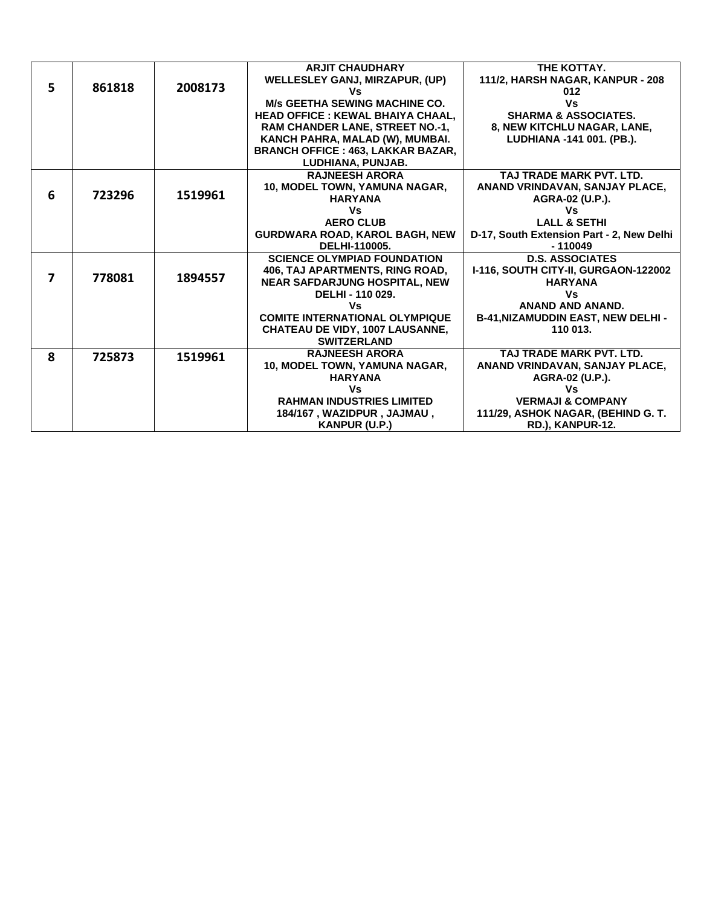|   |        |         | <b>ARJIT CHAUDHARY</b>                    | THE KOTTAY.                               |
|---|--------|---------|-------------------------------------------|-------------------------------------------|
|   |        |         | WELLESLEY GANJ, MIRZAPUR, (UP)            | 111/2, HARSH NAGAR, KANPUR - 208          |
| 5 | 861818 | 2008173 | ٧s                                        | 012                                       |
|   |        |         | <b>M/s GEETHA SEWING MACHINE CO.</b>      | Vs                                        |
|   |        |         | <b>HEAD OFFICE : KEWAL BHAIYA CHAAL.</b>  | <b>SHARMA &amp; ASSOCIATES.</b>           |
|   |        |         | <b>RAM CHANDER LANE, STREET NO.-1,</b>    | 8, NEW KITCHLU NAGAR, LANE,               |
|   |        |         | KANCH PAHRA, MALAD (W), MUMBAI.           | LUDHIANA -141 001. (PB.).                 |
|   |        |         | <b>BRANCH OFFICE : 463, LAKKAR BAZAR,</b> |                                           |
|   |        |         | LUDHIANA, PUNJAB.                         |                                           |
|   |        |         | <b>RAJNEESH ARORA</b>                     | TAJ TRADE MARK PVT. LTD.                  |
|   |        |         | 10, MODEL TOWN, YAMUNA NAGAR,             | ANAND VRINDAVAN, SANJAY PLACE,            |
| 6 | 723296 | 1519961 | <b>HARYANA</b>                            | AGRA-02 (U.P.).                           |
|   |        |         | Vs                                        | Vs                                        |
|   |        |         | <b>AERO CLUB</b>                          | <b>LALL &amp; SETHI</b>                   |
|   |        |         | <b>GURDWARA ROAD, KAROL BAGH, NEW</b>     | D-17, South Extension Part - 2, New Delhi |
|   |        |         | DELHI-110005.                             | $-110049$                                 |
|   |        |         | <b>SCIENCE OLYMPIAD FOUNDATION</b>        | <b>D.S. ASSOCIATES</b>                    |
| 7 | 778081 |         | 406, TAJ APARTMENTS, RING ROAD,           | I-116, SOUTH CITY-II, GURGAON-122002      |
|   |        | 1894557 | <b>NEAR SAFDARJUNG HOSPITAL, NEW</b>      | <b>HARYANA</b>                            |
|   |        |         | DELHI - 110 029.                          | Vs                                        |
|   |        |         | Vs                                        | <b>ANAND AND ANAND.</b>                   |
|   |        |         | <b>COMITE INTERNATIONAL OLYMPIQUE</b>     | <b>B-41, NIZAMUDDIN EAST, NEW DELHI-</b>  |
|   |        |         | <b>CHATEAU DE VIDY, 1007 LAUSANNE,</b>    | 110 013.                                  |
|   |        |         | <b>SWITZERLAND</b>                        |                                           |
| 8 | 725873 | 1519961 | <b>RAJNEESH ARORA</b>                     | TAJ TRADE MARK PVT. LTD.                  |
|   |        |         | 10, MODEL TOWN, YAMUNA NAGAR,             | ANAND VRINDAVAN, SANJAY PLACE,            |
|   |        |         | <b>HARYANA</b>                            | AGRA-02 (U.P.).                           |
|   |        |         | Vs                                        | ٧s                                        |
|   |        |         | <b>RAHMAN INDUSTRIES LIMITED</b>          | <b>VERMAJI &amp; COMPANY</b>              |
|   |        |         | 184/167, WAZIDPUR, JAJMAU,                | 111/29, ASHOK NAGAR, (BEHIND G. T.        |
|   |        |         | <b>KANPUR (U.P.)</b>                      | RD.), KANPUR-12.                          |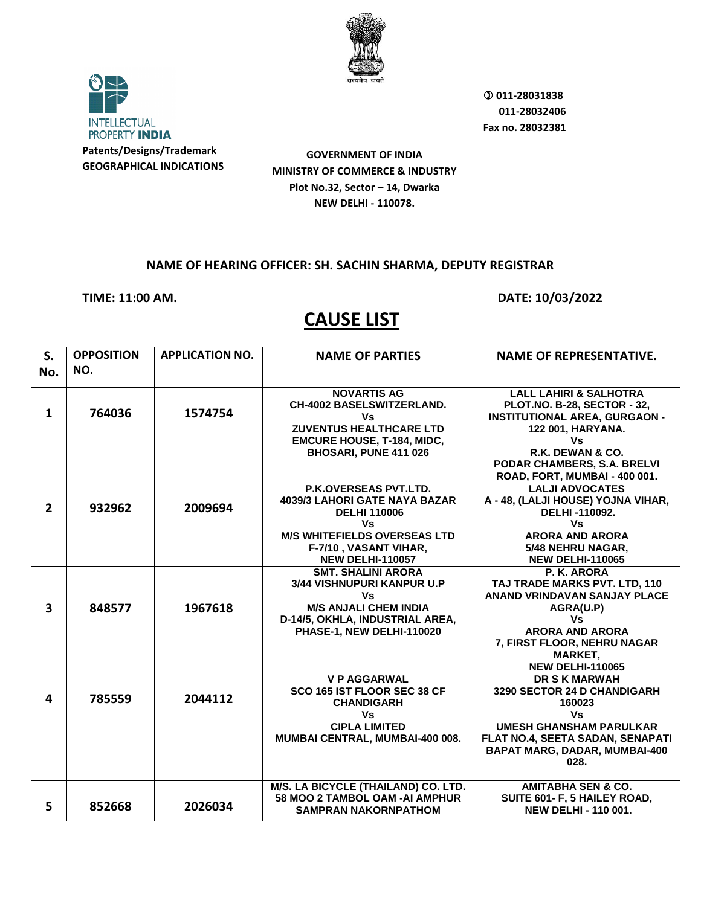

**INTELLECTUAL** PROPERTY INDIA **Patents/Designs/Trademark**

**GEOGRAPHICAL INDICATIONS**

**GOVERNMENT OF INDIA MINISTRY OF COMMERCE & INDUSTRY Plot No.32, Sector – 14, Dwarka NEW DELHI - 110078.**

## **NAME OF HEARING OFFICER: SH. SACHIN SHARMA, DEPUTY REGISTRAR**

**TIME: 11:00 AM. DATE: 10/03/2022** 

| S.<br>No.               | <b>OPPOSITION</b><br>NO. | <b>APPLICATION NO.</b> | <b>NAME OF PARTIES</b>                                                                                                                                                                | <b>NAME OF REPRESENTATIVE.</b>                                                                                                                                                                                                 |
|-------------------------|--------------------------|------------------------|---------------------------------------------------------------------------------------------------------------------------------------------------------------------------------------|--------------------------------------------------------------------------------------------------------------------------------------------------------------------------------------------------------------------------------|
| $\mathbf{1}$            | 764036                   | 1574754                | <b>NOVARTIS AG</b><br><b>CH-4002 BASELSWITZERLAND.</b><br>Vs<br><b>ZUVENTUS HEALTHCARE LTD</b><br><b>EMCURE HOUSE, T-184, MIDC,</b><br>BHOSARI, PUNE 411 026                          | <b>LALL LAHIRI &amp; SALHOTRA</b><br><b>PLOT.NO. B-28, SECTOR - 32,</b><br><b>INSTITUTIONAL AREA, GURGAON -</b><br>122 001, HARYANA.<br>Vs<br>R.K. DEWAN & CO.<br>PODAR CHAMBERS, S.A. BRELVI<br>ROAD, FORT, MUMBAI - 400 001. |
| $\overline{2}$          | 932962                   | 2009694                | <b>P.K.OVERSEAS PVT.LTD.</b><br>4039/3 LAHORI GATE NAYA BAZAR<br><b>DELHI 110006</b><br>Vs<br><b>M/S WHITEFIELDS OVERSEAS LTD</b><br>F-7/10, VASANT VIHAR,<br><b>NEW DELHI-110057</b> | <b>LALJI ADVOCATES</b><br>A - 48, (LALJI HOUSE) YOJNA VIHAR,<br>DELHI-110092.<br>Vs<br><b>ARORA AND ARORA</b><br>5/48 NEHRU NAGAR,<br><b>NEW DELHI-110065</b>                                                                  |
| $\overline{\mathbf{3}}$ | 848577                   | 1967618                | <b>SMT. SHALINI ARORA</b><br>3/44 VISHNUPURI KANPUR U.P<br>Vs<br><b>M/S ANJALI CHEM INDIA</b><br>D-14/5, OKHLA, INDUSTRIAL AREA,<br>PHASE-1, NEW DELHI-110020                         | P. K. ARORA<br>TAJ TRADE MARKS PVT. LTD, 110<br><b>ANAND VRINDAVAN SANJAY PLACE</b><br>AGRA(U.P)<br><b>Vs</b><br><b>ARORA AND ARORA</b><br>7, FIRST FLOOR, NEHRU NAGAR<br><b>MARKET,</b><br><b>NEW DELHI-110065</b>            |
| 4                       | 785559                   | 2044112                | <b>VP AGGARWAL</b><br>SCO 165 IST FLOOR SEC 38 CF<br><b>CHANDIGARH</b><br>Vs<br><b>CIPLA LIMITED</b><br>MUMBAI CENTRAL, MUMBAI-400 008.                                               | <b>DR S K MARWAH</b><br>3290 SECTOR 24 D CHANDIGARH<br>160023<br><b>Vs</b><br><b>UMESH GHANSHAM PARULKAR</b><br>FLAT NO.4, SEETA SADAN, SENAPATI<br>BAPAT MARG, DADAR, MUMBAI-400<br>028.                                      |
| 5                       | 852668                   | 2026034                | M/S. LA BICYCLE (THAILAND) CO. LTD.<br>58 MOO 2 TAMBOL OAM -AI AMPHUR<br><b>SAMPRAN NAKORNPATHOM</b>                                                                                  | <b>AMITABHA SEN &amp; CO.</b><br>SUITE 601- F, 5 HAILEY ROAD,<br><b>NEW DELHI - 110 001.</b>                                                                                                                                   |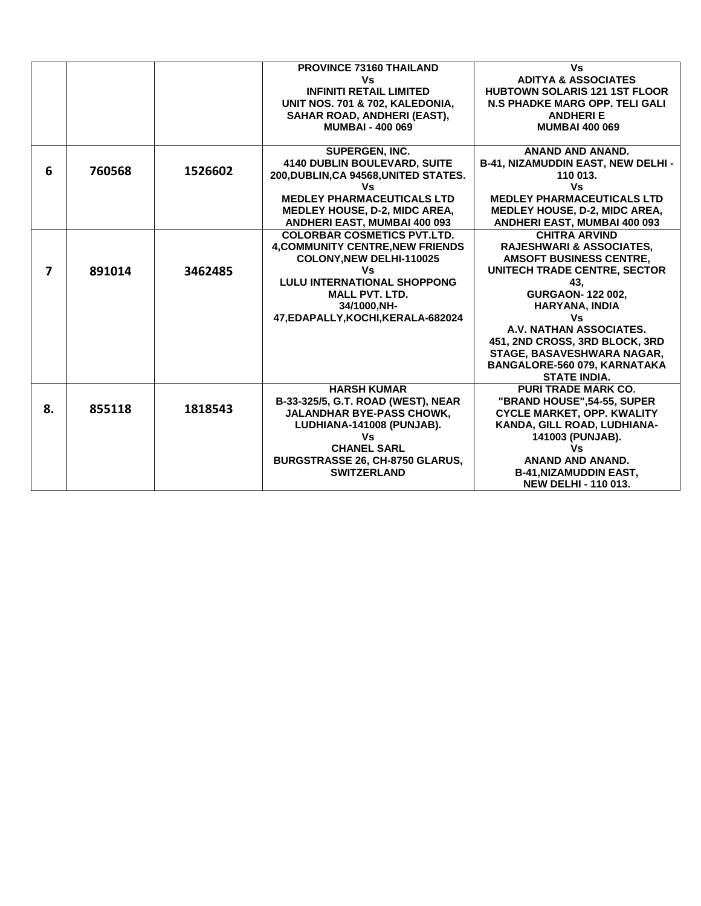|    |        |         | <b>PROVINCE 73160 THAILAND</b>          | Vs                                    |
|----|--------|---------|-----------------------------------------|---------------------------------------|
|    |        |         | Vs                                      | <b>ADITYA &amp; ASSOCIATES</b>        |
|    |        |         | <b>INFINITI RETAIL LIMITED</b>          | <b>HUBTOWN SOLARIS 121 1ST FLOOR</b>  |
|    |        |         | UNIT NOS. 701 & 702. KALEDONIA.         | <b>N.S PHADKE MARG OPP. TELI GALI</b> |
|    |        |         | SAHAR ROAD, ANDHERI (EAST),             | <b>ANDHERIE</b>                       |
|    |        |         | <b>MUMBAI - 400 069</b>                 | <b>MUMBAI 400 069</b>                 |
|    |        |         |                                         |                                       |
|    |        |         | <b>SUPERGEN, INC.</b>                   | <b>ANAND AND ANAND.</b>               |
|    |        |         | <b>4140 DUBLIN BOULEVARD, SUITE</b>     | B-41, NIZAMUDDIN EAST, NEW DELHI -    |
| 6  | 760568 | 1526602 | 200, DUBLIN, CA 94568, UNITED STATES.   | 110 013.                              |
|    |        |         | Vs                                      | Vs                                    |
|    |        |         | <b>MEDLEY PHARMACEUTICALS LTD</b>       | <b>MEDLEY PHARMACEUTICALS LTD</b>     |
|    |        |         | <b>MEDLEY HOUSE, D-2, MIDC AREA,</b>    | <b>MEDLEY HOUSE, D-2, MIDC AREA,</b>  |
|    |        |         | <b>ANDHERI EAST, MUMBAI 400 093</b>     | <b>ANDHERI EAST, MUMBAI 400 093</b>   |
|    |        |         | <b>COLORBAR COSMETICS PVT.LTD.</b>      | <b>CHITRA ARVIND</b>                  |
|    |        |         | <b>4, COMMUNITY CENTRE, NEW FRIENDS</b> | <b>RAJESHWARI &amp; ASSOCIATES.</b>   |
|    |        |         | COLONY, NEW DELHI-110025                | <b>AMSOFT BUSINESS CENTRE,</b>        |
| 7  | 891014 | 3462485 | Vs                                      | UNITECH TRADE CENTRE, SECTOR          |
|    |        |         | <b>LULU INTERNATIONAL SHOPPONG</b>      | 43.                                   |
|    |        |         | <b>MALL PVT. LTD.</b>                   | <b>GURGAON-122002,</b>                |
|    |        |         | 34/1000, NH-                            | HARYANA, INDIA                        |
|    |        |         | 47, EDAPALLY, KOCHI, KERALA-682024      | Vs                                    |
|    |        |         |                                         | A.V. NATHAN ASSOCIATES.               |
|    |        |         |                                         | 451, 2ND CROSS, 3RD BLOCK, 3RD        |
|    |        |         |                                         | STAGE, BASAVESHWARA NAGAR,            |
|    |        |         |                                         | BANGALORE-560 079, KARNATAKA          |
|    |        |         |                                         | <b>STATE INDIA.</b>                   |
|    |        |         | <b>HARSH KUMAR</b>                      | <b>PURI TRADE MARK CO.</b>            |
|    |        |         | B-33-325/5, G.T. ROAD (WEST), NEAR      | "BRAND HOUSE",54-55, SUPER            |
| 8. | 855118 | 1818543 | <b>JALANDHAR BYE-PASS CHOWK,</b>        | <b>CYCLE MARKET, OPP. KWALITY</b>     |
|    |        |         | LUDHIANA-141008 (PUNJAB).               | KANDA, GILL ROAD, LUDHIANA-           |
|    |        |         | Vs                                      | 141003 (PUNJAB).                      |
|    |        |         | <b>CHANEL SARL</b>                      | Vs                                    |
|    |        |         | BURGSTRASSE 26, CH-8750 GLARUS,         | ANAND AND ANAND.                      |
|    |        |         | <b>SWITZERLAND</b>                      | <b>B-41, NIZAMUDDIN EAST,</b>         |
|    |        |         |                                         | <b>NEW DELHI - 110 013.</b>           |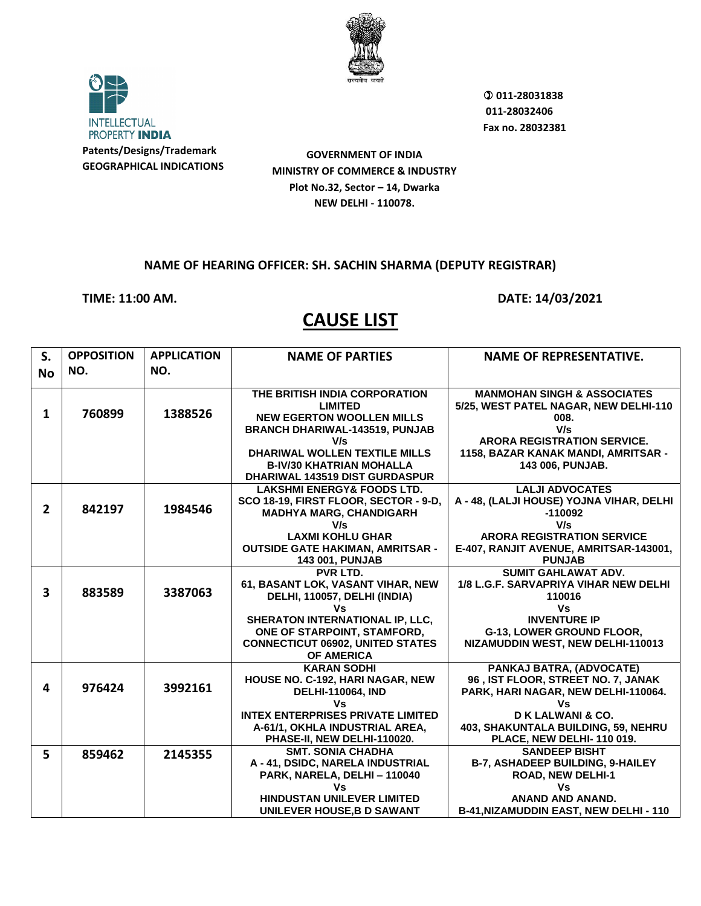

**INTELLECTUAL** PROPERTY INDIA **Patents/Designs/Trademark**

**GEOGRAPHICAL INDICATIONS**

 **011-28031838 011-28032406 Fax no. 28032381**

**GOVERNMENT OF INDIA MINISTRY OF COMMERCE & INDUSTRY Plot No.32, Sector – 14, Dwarka NEW DELHI - 110078.**

### **NAME OF HEARING OFFICER: SH. SACHIN SHARMA (DEPUTY REGISTRAR)**

**TIME: 11:00 AM. DATE: 14/03/2021**

| S.             | <b>OPPOSITION</b> | <b>APPLICATION</b> | <b>NAME OF PARTIES</b>                   | <b>NAME OF REPRESENTATIVE.</b>           |
|----------------|-------------------|--------------------|------------------------------------------|------------------------------------------|
| <b>No</b>      | NO.               | NO.                |                                          |                                          |
|                |                   |                    |                                          |                                          |
|                |                   |                    | THE BRITISH INDIA CORPORATION            | <b>MANMOHAN SINGH &amp; ASSOCIATES</b>   |
| $\mathbf{1}$   | 760899            | 1388526            | <b>LIMITED</b>                           | 5/25, WEST PATEL NAGAR, NEW DELHI-110    |
|                |                   |                    | <b>NEW EGERTON WOOLLEN MILLS</b>         | 008.                                     |
|                |                   |                    | <b>BRANCH DHARIWAL-143519, PUNJAB</b>    | V/s                                      |
|                |                   |                    | V/s                                      | <b>ARORA REGISTRATION SERVICE.</b>       |
|                |                   |                    | <b>DHARIWAL WOLLEN TEXTILE MILLS</b>     | 1158, BAZAR KANAK MANDI, AMRITSAR -      |
|                |                   |                    | <b>B-IV/30 KHATRIAN MOHALLA</b>          | 143 006, PUNJAB.                         |
|                |                   |                    | DHARIWAL 143519 DIST GURDASPUR           |                                          |
|                |                   |                    | <b>LAKSHMI ENERGY&amp; FOODS LTD.</b>    | <b>LALJI ADVOCATES</b>                   |
| $\overline{2}$ | 842197            | 1984546            | SCO 18-19, FIRST FLOOR, SECTOR - 9-D,    | A - 48, (LALJI HOUSE) YOJNA VIHAR, DELHI |
|                |                   |                    | <b>MADHYA MARG, CHANDIGARH</b>           | $-110092$                                |
|                |                   |                    | V/s                                      | V/s                                      |
|                |                   |                    | <b>LAXMI KOHLU GHAR</b>                  | <b>ARORA REGISTRATION SERVICE</b>        |
|                |                   |                    | <b>OUTSIDE GATE HAKIMAN, AMRITSAR -</b>  | E-407, RANJIT AVENUE, AMRITSAR-143001,   |
|                |                   |                    | <b>143 001, PUNJAB</b>                   | <b>PUNJAB</b>                            |
|                |                   |                    | PVR LTD.                                 | <b>SUMIT GAHLAWAT ADV.</b>               |
| 3              | 883589            | 3387063            | 61, BASANT LOK, VASANT VIHAR, NEW        | 1/8 L.G.F. SARVAPRIYA VIHAR NEW DELHI    |
|                |                   |                    | DELHI, 110057, DELHI (INDIA)             | 110016                                   |
|                |                   |                    | ٧s<br>SHERATON INTERNATIONAL IP, LLC,    | Vs<br><b>INVENTURE IP</b>                |
|                |                   |                    | ONE OF STARPOINT, STAMFORD,              | G-13, LOWER GROUND FLOOR,                |
|                |                   |                    | <b>CONNECTICUT 06902, UNITED STATES</b>  | NIZAMUDDIN WEST, NEW DELHI-110013        |
|                |                   |                    | <b>OF AMERICA</b>                        |                                          |
|                |                   |                    | <b>KARAN SODHI</b>                       | PANKAJ BATRA, (ADVOCATE)                 |
|                |                   |                    | HOUSE NO. C-192, HARI NAGAR, NEW         | 96, IST FLOOR, STREET NO. 7, JANAK       |
| 4              | 976424            | 3992161            | <b>DELHI-110064, IND</b>                 | PARK, HARI NAGAR, NEW DELHI-110064.      |
|                |                   |                    | Vs                                       | ٧s                                       |
|                |                   |                    | <b>INTEX ENTERPRISES PRIVATE LIMITED</b> | D K LALWANI & CO.                        |
|                |                   |                    | A-61/1, OKHLA INDUSTRIAL AREA,           | 403, SHAKUNTALA BUILDING, 59, NEHRU      |
|                |                   |                    | PHASE-II, NEW DELHI-110020.              | PLACE, NEW DELHI-110 019.                |
| 5              |                   | 2145355            | <b>SMT. SONIA CHADHA</b>                 | <b>SANDEEP BISHT</b>                     |
|                | 859462            |                    | A - 41, DSIDC, NARELA INDUSTRIAL         | B-7, ASHADEEP BUILDING, 9-HAILEY         |
|                |                   |                    | PARK, NARELA, DELHI - 110040             | ROAD, NEW DELHI-1                        |
|                |                   |                    | Vs                                       | Vs                                       |
|                |                   |                    | <b>HINDUSTAN UNILEVER LIMITED</b>        | <b>ANAND AND ANAND.</b>                  |
|                |                   |                    | UNILEVER HOUSE, B D SAWANT               | B-41, NIZAMUDDIN EAST, NEW DELHI - 110   |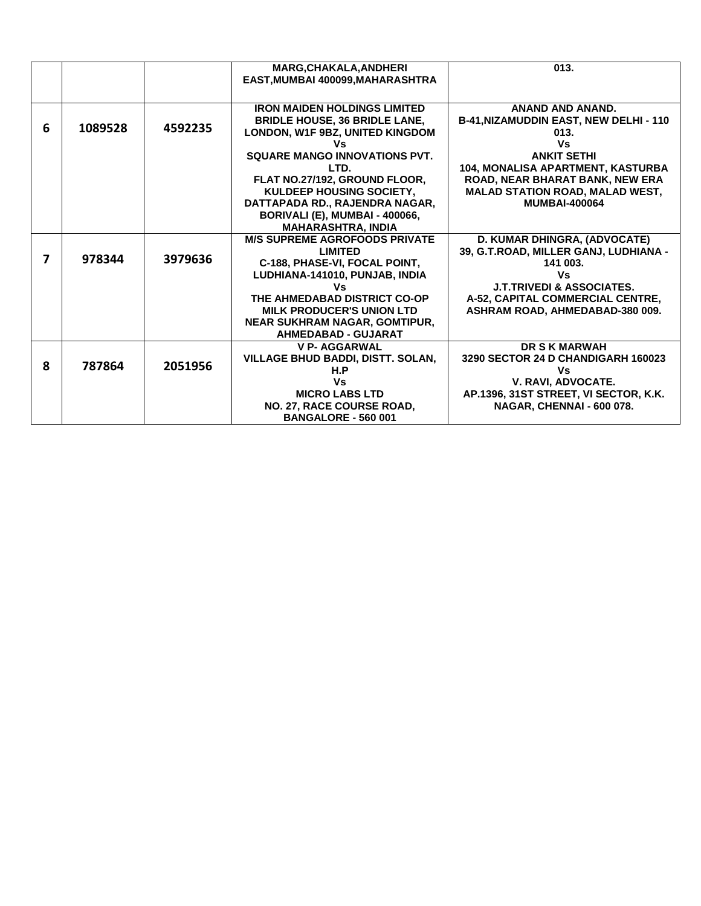|   |         |         | <b>MARG.CHAKALA.ANDHERI</b>          | 013.                                     |
|---|---------|---------|--------------------------------------|------------------------------------------|
|   |         |         | EAST, MUMBAI 400099, MAHARASHTRA     |                                          |
|   |         |         |                                      |                                          |
|   |         |         |                                      |                                          |
|   |         |         | <b>IRON MAIDEN HOLDINGS LIMITED</b>  | <b>ANAND AND ANAND.</b>                  |
|   |         |         | <b>BRIDLE HOUSE, 36 BRIDLE LANE,</b> | B-41, NIZAMUDDIN EAST, NEW DELHI - 110   |
| 6 | 1089528 | 4592235 | LONDON, W1F 9BZ, UNITED KINGDOM      | 013.                                     |
|   |         |         | ٧s                                   | Vs                                       |
|   |         |         | SQUARE MANGO INNOVATIONS PVT.        | <b>ANKIT SETHI</b>                       |
|   |         |         | LTD.                                 | <b>104. MONALISA APARTMENT, KASTURBA</b> |
|   |         |         | FLAT NO.27/192, GROUND FLOOR,        | ROAD, NEAR BHARAT BANK, NEW ERA          |
|   |         |         | KULDEEP HOUSING SOCIETY,             | <b>MALAD STATION ROAD, MALAD WEST,</b>   |
|   |         |         | DATTAPADA RD., RAJENDRA NAGAR,       | <b>MUMBAI-400064</b>                     |
|   |         |         | BORIVALI (E), MUMBAI - 400066,       |                                          |
|   |         |         | <b>MAHARASHTRA, INDIA</b>            |                                          |
|   |         |         | <b>M/S SUPREME AGROFOODS PRIVATE</b> | D. KUMAR DHINGRA, (ADVOCATE)             |
|   |         |         | <b>LIMITED</b>                       | 39, G.T.ROAD, MILLER GANJ, LUDHIANA -    |
| 7 | 978344  | 3979636 | C-188, PHASE-VI, FOCAL POINT,        | 141 003.                                 |
|   |         |         | LUDHIANA-141010, PUNJAB, INDIA       | Vs                                       |
|   |         |         | Vs.                                  | <b>J.T.TRIVEDI &amp; ASSOCIATES.</b>     |
|   |         |         | THE AHMEDABAD DISTRICT CO-OP         | A-52, CAPITAL COMMERCIAL CENTRE,         |
|   |         |         | <b>MILK PRODUCER'S UNION LTD</b>     | ASHRAM ROAD, AHMEDABAD-380 009.          |
|   |         |         |                                      |                                          |
|   |         |         | <b>NEAR SUKHRAM NAGAR, GOMTIPUR,</b> |                                          |
|   |         |         | <b>AHMEDABAD - GUJARAT</b>           |                                          |
|   |         |         | <b>V P- AGGARWAL</b>                 | <b>DR S K MARWAH</b>                     |
| 8 | 787864  | 2051956 | VILLAGE BHUD BADDI, DISTT. SOLAN,    | 3290 SECTOR 24 D CHANDIGARH 160023       |
|   |         |         | H.P                                  | Vs                                       |
|   |         |         | Vs                                   | V. RAVI. ADVOCATE.                       |
|   |         |         | <b>MICRO LABS LTD</b>                | AP.1396, 31ST STREET, VI SECTOR, K.K.    |
|   |         |         | NO. 27, RACE COURSE ROAD,            | NAGAR, CHENNAI - 600 078.                |
|   |         |         | <b>BANGALORE - 560 001</b>           |                                          |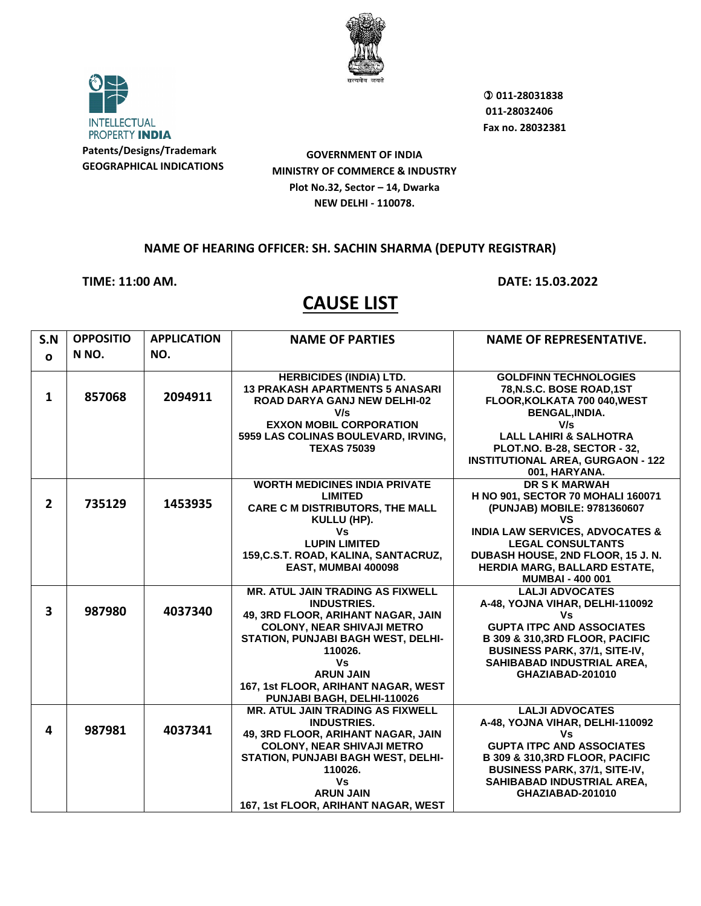

**INTELLECTUAL** PROPERTY INDIA **Patents/Designs/Trademark**

**GEOGRAPHICAL INDICATIONS**

**GOVERNMENT OF INDIA MINISTRY OF COMMERCE & INDUSTRY Plot No.32, Sector – 14, Dwarka NEW DELHI - 110078.**

## **NAME OF HEARING OFFICER: SH. SACHIN SHARMA (DEPUTY REGISTRAR)**

**TIME: 11:00 AM. DATE: 15.03.2022** 

| S.N                     | <b>OPPOSITIO</b> | <b>APPLICATION</b> | <b>NAME OF PARTIES</b>                  | <b>NAME OF REPRESENTATIVE.</b>                   |
|-------------------------|------------------|--------------------|-----------------------------------------|--------------------------------------------------|
| $\Omega$                | N NO.            | NO.                |                                         |                                                  |
|                         |                  |                    |                                         |                                                  |
|                         |                  |                    | <b>HERBICIDES (INDIA) LTD.</b>          | <b>GOLDFINN TECHNOLOGIES</b>                     |
|                         |                  |                    | <b>13 PRAKASH APARTMENTS 5 ANASARI</b>  | 78, N.S.C. BOSE ROAD, 1ST                        |
| $\mathbf{1}$            | 857068           | 2094911            | <b>ROAD DARYA GANJ NEW DELHI-02</b>     | FLOOR, KOLKATA 700 040, WEST                     |
|                         |                  |                    | V/s                                     | <b>BENGAL, INDIA.</b>                            |
|                         |                  |                    | <b>EXXON MOBIL CORPORATION</b>          | V/s                                              |
|                         |                  |                    | 5959 LAS COLINAS BOULEVARD, IRVING,     | <b>LALL LAHIRI &amp; SALHOTRA</b>                |
|                         |                  |                    | <b>TEXAS 75039</b>                      | PLOT.NO. B-28, SECTOR - 32,                      |
|                         |                  |                    |                                         | <b>INSTITUTIONAL AREA, GURGAON - 122</b>         |
|                         |                  |                    |                                         | 001, HARYANA.                                    |
|                         |                  |                    | <b>WORTH MEDICINES INDIA PRIVATE</b>    | <b>DR S K MARWAH</b>                             |
| $\overline{2}$          | 735129           | 1453935            | <b>LIMITED</b>                          | H NO 901, SECTOR 70 MOHALI 160071                |
|                         |                  |                    | <b>CARE C M DISTRIBUTORS, THE MALL</b>  | (PUNJAB) MOBILE: 9781360607                      |
|                         |                  |                    | KULLU (HP).<br>Vs                       | VS<br><b>INDIA LAW SERVICES, ADVOCATES &amp;</b> |
|                         |                  |                    | <b>LUPIN LIMITED</b>                    | <b>LEGAL CONSULTANTS</b>                         |
|                         |                  |                    | 159, C.S.T. ROAD, KALINA, SANTACRUZ,    | DUBASH HOUSE, 2ND FLOOR, 15 J. N.                |
|                         |                  |                    | EAST, MUMBAI 400098                     | <b>HERDIA MARG, BALLARD ESTATE,</b>              |
|                         |                  |                    |                                         | <b>MUMBAI - 400 001</b>                          |
|                         |                  |                    | <b>MR. ATUL JAIN TRADING AS FIXWELL</b> | <b>LALJI ADVOCATES</b>                           |
|                         |                  |                    | <b>INDUSTRIES.</b>                      | A-48, YOJNA VIHAR, DELHI-110092                  |
| $\overline{\mathbf{3}}$ | 987980           | 4037340            | 49, 3RD FLOOR, ARIHANT NAGAR, JAIN      | ٧s                                               |
|                         |                  |                    | <b>COLONY, NEAR SHIVAJI METRO</b>       | <b>GUPTA ITPC AND ASSOCIATES</b>                 |
|                         |                  |                    | STATION, PUNJABI BAGH WEST, DELHI-      | B 309 & 310,3RD FLOOR, PACIFIC                   |
|                         |                  |                    | 110026.                                 | <b>BUSINESS PARK, 37/1, SITE-IV,</b>             |
|                         |                  |                    | Vs                                      | SAHIBABAD INDUSTRIAL AREA,                       |
|                         |                  |                    | <b>ARUN JAIN</b>                        | GHAZIABAD-201010                                 |
|                         |                  |                    | 167, 1st FLOOR, ARIHANT NAGAR, WEST     |                                                  |
|                         |                  |                    | PUNJABI BAGH, DELHI-110026              |                                                  |
|                         |                  |                    | <b>MR. ATUL JAIN TRADING AS FIXWELL</b> | <b>LALJI ADVOCATES</b>                           |
| 4                       | 987981           | 4037341            | <b>INDUSTRIES.</b>                      | A-48, YOJNA VIHAR, DELHI-110092                  |
|                         |                  |                    | 49, 3RD FLOOR, ARIHANT NAGAR, JAIN      | Vs                                               |
|                         |                  |                    | <b>COLONY, NEAR SHIVAJI METRO</b>       | <b>GUPTA ITPC AND ASSOCIATES</b>                 |
|                         |                  |                    | STATION, PUNJABI BAGH WEST, DELHI-      | B 309 & 310,3RD FLOOR, PACIFIC                   |
|                         |                  |                    | 110026.                                 | BUSINESS PARK, 37/1, SITE-IV,                    |
|                         |                  |                    | <b>Vs</b>                               | SAHIBABAD INDUSTRIAL AREA,                       |
|                         |                  |                    | <b>ARUN JAIN</b>                        | GHAZIABAD-201010                                 |
|                         |                  |                    | 167, 1st FLOOR, ARIHANT NAGAR, WEST     |                                                  |

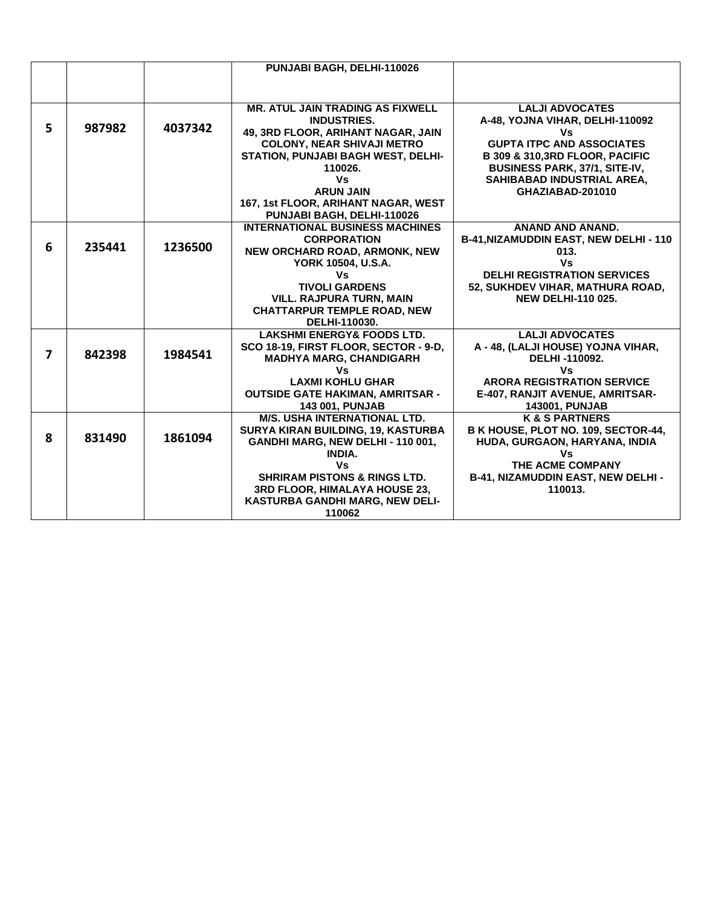|                         |        |         | PUNJABI BAGH, DELHI-110026                |                                                      |
|-------------------------|--------|---------|-------------------------------------------|------------------------------------------------------|
|                         |        |         |                                           |                                                      |
|                         |        |         |                                           |                                                      |
|                         |        |         | <b>MR. ATUL JAIN TRADING AS FIXWELL</b>   | <b>LALJI ADVOCATES</b>                               |
|                         |        |         | <b>INDUSTRIES.</b>                        | A-48, YOJNA VIHAR, DELHI-110092                      |
| 5                       | 987982 | 4037342 | 49, 3RD FLOOR, ARIHANT NAGAR, JAIN        | ٧s                                                   |
|                         |        |         | <b>COLONY, NEAR SHIVAJI METRO</b>         | <b>GUPTA ITPC AND ASSOCIATES</b>                     |
|                         |        |         | <b>STATION, PUNJABI BAGH WEST, DELHI-</b> | B 309 & 310,3RD FLOOR, PACIFIC                       |
|                         |        |         | 110026.                                   | BUSINESS PARK, 37/1, SITE-IV,                        |
|                         |        |         | Vs                                        | SAHIBABAD INDUSTRIAL AREA.                           |
|                         |        |         | <b>ARUN JAIN</b>                          | GHAZIABAD-201010                                     |
|                         |        |         | 167, 1st FLOOR, ARIHANT NAGAR, WEST       |                                                      |
|                         |        |         | PUNJABI BAGH, DELHI-110026                |                                                      |
|                         |        |         | <b>INTERNATIONAL BUSINESS MACHINES</b>    | ANAND AND ANAND.                                     |
|                         |        |         | <b>CORPORATION</b>                        | <b>B-41, NIZAMUDDIN EAST, NEW DELHI - 110</b>        |
| 6                       | 235441 | 1236500 | NEW ORCHARD ROAD, ARMONK, NEW             | 013.                                                 |
|                         |        |         | YORK 10504, U.S.A.                        | <b>Vs</b>                                            |
|                         |        |         | Vs                                        | <b>DELHI REGISTRATION SERVICES</b>                   |
|                         |        |         | <b>TIVOLI GARDENS</b>                     | 52, SUKHDEV VIHAR, MATHURA ROAD,                     |
|                         |        |         | <b>VILL. RAJPURA TURN, MAIN</b>           | <b>NEW DELHI-110 025.</b>                            |
|                         |        |         | <b>CHATTARPUR TEMPLE ROAD, NEW</b>        |                                                      |
|                         |        |         | DELHI-110030.                             |                                                      |
|                         |        |         | <b>LAKSHMI ENERGY&amp; FOODS LTD.</b>     | <b>LALJI ADVOCATES</b>                               |
| $\overline{\mathbf{z}}$ | 842398 | 1984541 | SCO 18-19, FIRST FLOOR, SECTOR - 9-D,     | A - 48, (LALJI HOUSE) YOJNA VIHAR,                   |
|                         |        |         | <b>MADHYA MARG, CHANDIGARH</b>            | DELHI-110092.                                        |
|                         |        |         | Vs                                        | Vs                                                   |
|                         |        |         | <b>LAXMI KOHLU GHAR</b>                   | <b>ARORA REGISTRATION SERVICE</b>                    |
|                         |        |         | <b>OUTSIDE GATE HAKIMAN, AMRITSAR -</b>   | E-407, RANJIT AVENUE, AMRITSAR-                      |
|                         |        |         | <b>143 001, PUNJAB</b>                    | <b>143001, PUNJAB</b>                                |
|                         |        |         | <b>M/S. USHA INTERNATIONAL LTD.</b>       | <b>K &amp; S PARTNERS</b>                            |
| 8                       | 831490 | 1861094 | SURYA KIRAN BUILDING, 19, KASTURBA        | B K HOUSE, PLOT NO. 109, SECTOR-44,                  |
|                         |        |         | GANDHI MARG, NEW DELHI - 110 001,         | HUDA, GURGAON, HARYANA, INDIA                        |
|                         |        |         | <b>INDIA.</b>                             | Vs                                                   |
|                         |        |         | Vs                                        | THE ACME COMPANY                                     |
|                         |        |         | <b>SHRIRAM PISTONS &amp; RINGS LTD.</b>   | <b>B-41, NIZAMUDDIN EAST, NEW DELHI -</b><br>110013. |
|                         |        |         | 3RD FLOOR, HIMALAYA HOUSE 23,             |                                                      |
|                         |        |         | KASTURBA GANDHI MARG, NEW DELI-           |                                                      |
|                         |        |         | 110062                                    |                                                      |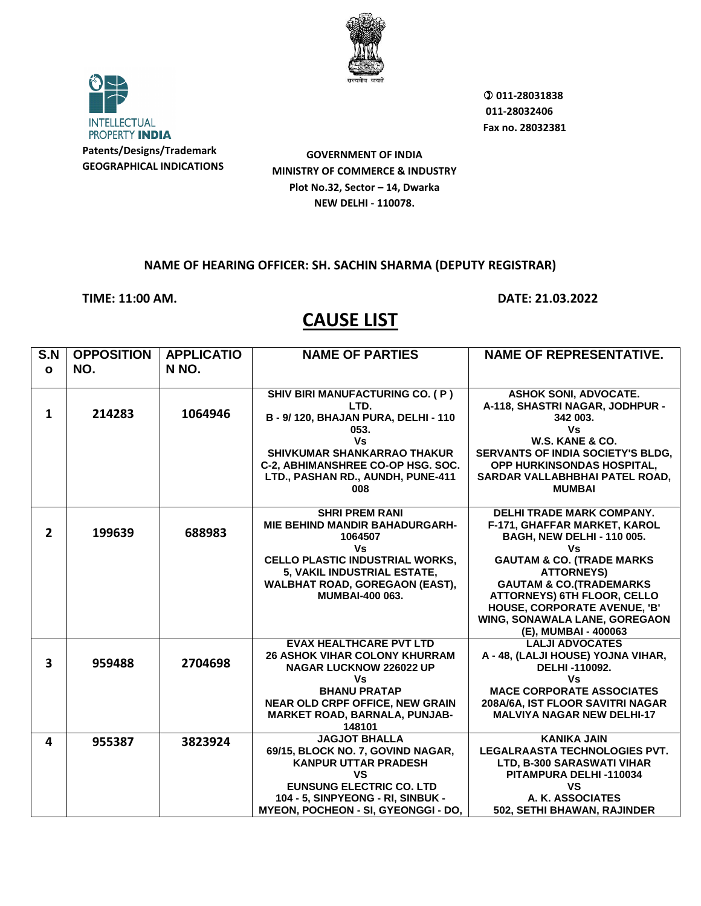

**INTELLECTUAL** PROPERTY INDIA **Patents/Designs/Trademark**

**GEOGRAPHICAL INDICATIONS**

 **011-28031838 011-28032406 Fax no. 28032381**

**GOVERNMENT OF INDIA MINISTRY OF COMMERCE & INDUSTRY Plot No.32, Sector – 14, Dwarka NEW DELHI - 110078.**

### **NAME OF HEARING OFFICER: SH. SACHIN SHARMA (DEPUTY REGISTRAR)**

**TIME: 11:00 AM. DATE: 21.03.2022**

| S.N                     | <b>OPPOSITION</b> | <b>APPLICATIO</b> | <b>NAME OF PARTIES</b>                                                 | <b>NAME OF REPRESENTATIVE.</b>                      |
|-------------------------|-------------------|-------------------|------------------------------------------------------------------------|-----------------------------------------------------|
| $\mathbf{o}$            | NO.               | N NO.             |                                                                        |                                                     |
|                         |                   |                   |                                                                        |                                                     |
|                         |                   |                   | SHIV BIRI MANUFACTURING CO. (P)                                        | <b>ASHOK SONI, ADVOCATE.</b>                        |
|                         |                   |                   | LTD.                                                                   | A-118, SHASTRI NAGAR, JODHPUR -                     |
| $\mathbf{1}$            | 214283            | 1064946           | B - 9/ 120, BHAJAN PURA, DELHI - 110                                   | 342 003.                                            |
|                         |                   |                   | 053.                                                                   | Vs                                                  |
|                         |                   |                   | Vs                                                                     | W.S. KANE & CO.                                     |
|                         |                   |                   | SHIVKUMAR SHANKARRAO THAKUR                                            | SERVANTS OF INDIA SOCIETY'S BLDG,                   |
|                         |                   |                   | C-2, ABHIMANSHREE CO-OP HSG. SOC.                                      | OPP HURKINSONDAS HOSPITAL,                          |
|                         |                   |                   | LTD., PASHAN RD., AUNDH, PUNE-411<br>008                               | SARDAR VALLABHBHAI PATEL ROAD,<br><b>MUMBAI</b>     |
|                         |                   |                   |                                                                        |                                                     |
|                         |                   |                   | <b>SHRI PREM RANI</b>                                                  | DELHI TRADE MARK COMPANY.                           |
|                         |                   |                   | <b>MIE BEHIND MANDIR BAHADURGARH-</b>                                  | F-171, GHAFFAR MARKET, KAROL                        |
| $\overline{2}$          | 199639            | 688983            | 1064507                                                                | <b>BAGH, NEW DELHI - 110 005.</b>                   |
|                         |                   |                   | Vs                                                                     | Vs                                                  |
|                         |                   |                   | <b>CELLO PLASTIC INDUSTRIAL WORKS,</b>                                 | <b>GAUTAM &amp; CO. (TRADE MARKS</b>                |
|                         |                   |                   | 5, VAKIL INDUSTRIAL ESTATE,                                            | <b>ATTORNEYS)</b>                                   |
|                         |                   |                   | <b>WALBHAT ROAD, GOREGAON (EAST),</b>                                  | <b>GAUTAM &amp; CO.(TRADEMARKS</b>                  |
|                         |                   |                   | <b>MUMBAI-400 063.</b>                                                 | <b>ATTORNEYS) 6TH FLOOR, CELLO</b>                  |
|                         |                   |                   |                                                                        | <b>HOUSE, CORPORATE AVENUE, 'B'</b>                 |
|                         |                   |                   |                                                                        | WING, SONAWALA LANE, GOREGAON                       |
|                         |                   |                   |                                                                        | (E), MUMBAI - 400063                                |
|                         |                   |                   | <b>EVAX HEALTHCARE PVT LTD</b><br><b>26 ASHOK VIHAR COLONY KHURRAM</b> | <b>LALJI ADVOCATES</b>                              |
| $\overline{\mathbf{3}}$ | 959488            | 2704698           | <b>NAGAR LUCKNOW 226022 UP</b>                                         | A - 48, (LALJI HOUSE) YOJNA VIHAR,<br>DELHI-110092. |
|                         |                   |                   | Vs.                                                                    | Vs                                                  |
|                         |                   |                   | <b>BHANU PRATAP</b>                                                    | <b>MACE CORPORATE ASSOCIATES</b>                    |
|                         |                   |                   | <b>NEAR OLD CRPF OFFICE, NEW GRAIN</b>                                 | 208A/6A, IST FLOOR SAVITRI NAGAR                    |
|                         |                   |                   | MARKET ROAD, BARNALA, PUNJAB-                                          | <b>MALVIYA NAGAR NEW DELHI-17</b>                   |
|                         |                   |                   | 148101                                                                 |                                                     |
| 4                       | 955387            | 3823924           | <b>JAGJOT BHALLA</b>                                                   | <b>KANIKA JAIN</b>                                  |
|                         |                   |                   | 69/15, BLOCK NO. 7, GOVIND NAGAR,                                      | <b>LEGALRAASTA TECHNOLOGIES PVT.</b>                |
|                         |                   |                   | <b>KANPUR UTTAR PRADESH</b>                                            | LTD, B-300 SARASWATI VIHAR                          |
|                         |                   |                   | <b>VS</b>                                                              | PITAMPURA DELHI-110034                              |
|                         |                   |                   | <b>EUNSUNG ELECTRIC CO. LTD</b>                                        | <b>VS</b>                                           |
|                         |                   |                   | 104 - 5, SINPYEONG - RI, SINBUK -                                      | A. K. ASSOCIATES                                    |
|                         |                   |                   | <b>MYEON, POCHEON - SI, GYEONGGI - DO,</b>                             | 502, SETHI BHAWAN, RAJINDER                         |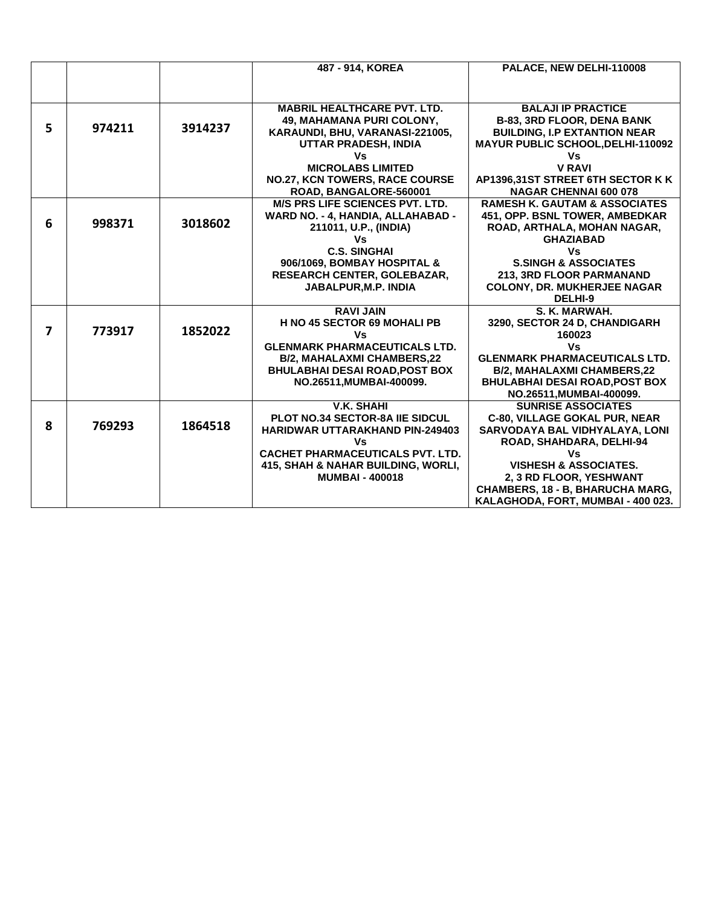|   |        |         | 487 - 914, KOREA                                             | PALACE, NEW DELHI-110008                 |
|---|--------|---------|--------------------------------------------------------------|------------------------------------------|
|   |        |         |                                                              |                                          |
|   |        |         |                                                              |                                          |
|   |        |         |                                                              |                                          |
|   |        |         | <b>MABRIL HEALTHCARE PVT. LTD.</b>                           | <b>BALAJI IP PRACTICE</b>                |
| 5 | 974211 | 3914237 | 49, MAHAMANA PURI COLONY,                                    | <b>B-83, 3RD FLOOR, DENA BANK</b>        |
|   |        |         | KARAUNDI, BHU, VARANASI-221005,                              | <b>BUILDING, I.P EXTANTION NEAR</b>      |
|   |        |         | <b>UTTAR PRADESH, INDIA</b>                                  | MAYUR PUBLIC SCHOOL, DELHI-110092        |
|   |        |         | Vs                                                           | Vs                                       |
|   |        |         | <b>MICROLABS LIMITED</b>                                     | <b>V RAVI</b>                            |
|   |        |         | <b>NO.27, KCN TOWERS, RACE COURSE</b>                        | AP1396,31ST STREET 6TH SECTOR K K        |
|   |        |         | ROAD, BANGALORE-560001                                       | <b>NAGAR CHENNAI 600 078</b>             |
|   |        |         | <b>M/S PRS LIFE SCIENCES PVT. LTD.</b>                       | <b>RAMESH K. GAUTAM &amp; ASSOCIATES</b> |
|   |        |         | WARD NO. - 4, HANDIA, ALLAHABAD -                            | 451, OPP. BSNL TOWER, AMBEDKAR           |
| 6 | 998371 | 3018602 | 211011, U.P., (INDIA)                                        | ROAD, ARTHALA, MOHAN NAGAR,              |
|   |        |         | Vs                                                           | <b>GHAZIABAD</b>                         |
|   |        |         | <b>C.S. SINGHAI</b>                                          | Vs                                       |
|   |        |         | 906/1069, BOMBAY HOSPITAL &                                  | <b>S.SINGH &amp; ASSOCIATES</b>          |
|   |        |         | RESEARCH CENTER, GOLEBAZAR,                                  | <b>213. 3RD FLOOR PARMANAND</b>          |
|   |        |         | JABALPUR, M.P. INDIA                                         | <b>COLONY, DR. MUKHERJEE NAGAR</b>       |
|   |        |         |                                                              | DELHI-9                                  |
|   |        |         | <b>RAVI JAIN</b>                                             | S. K. MARWAH.                            |
|   |        |         | <b>H NO 45 SECTOR 69 MOHALI PB</b>                           | 3290, SECTOR 24 D, CHANDIGARH            |
| 7 | 773917 | 1852022 | Vs                                                           | 160023                                   |
|   |        |         | <b>GLENMARK PHARMACEUTICALS LTD.</b>                         | Vs                                       |
|   |        |         | <b>B/2, MAHALAXMI CHAMBERS,22</b>                            | <b>GLENMARK PHARMACEUTICALS LTD.</b>     |
|   |        |         | <b>BHULABHAI DESAI ROAD, POST BOX</b>                        | <b>B/2, MAHALAXMI CHAMBERS,22</b>        |
|   |        |         | NO.26511, MUMBAI-400099.                                     | <b>BHULABHAI DESAI ROAD, POST BOX</b>    |
|   |        |         |                                                              | NO.26511, MUMBAI-400099.                 |
|   |        |         | <b>V.K. SHAHI</b>                                            | <b>SUNRISE ASSOCIATES</b>                |
|   |        |         | <b>PLOT NO.34 SECTOR-8A IIE SIDCUL</b>                       | <b>C-80, VILLAGE GOKAL PUR, NEAR</b>     |
| 8 | 769293 | 1864518 | <b>HARIDWAR UTTARAKHAND PIN-249403</b>                       | SARVODAYA BAL VIDHYALAYA, LONI           |
|   |        |         | Vs                                                           |                                          |
|   |        |         | <b>CACHET PHARMACEUTICALS PVT. LTD.</b>                      | ROAD, SHAHDARA, DELHI-94<br>٧s           |
|   |        |         |                                                              | <b>VISHESH &amp; ASSOCIATES.</b>         |
|   |        |         | 415, SHAH & NAHAR BUILDING, WORLI,<br><b>MUMBAI - 400018</b> |                                          |
|   |        |         |                                                              | 2, 3 RD FLOOR, YESHWANT                  |
|   |        |         |                                                              | CHAMBERS, 18 - B, BHARUCHA MARG,         |
|   |        |         |                                                              | KALAGHODA, FORT, MUMBAI - 400 023.       |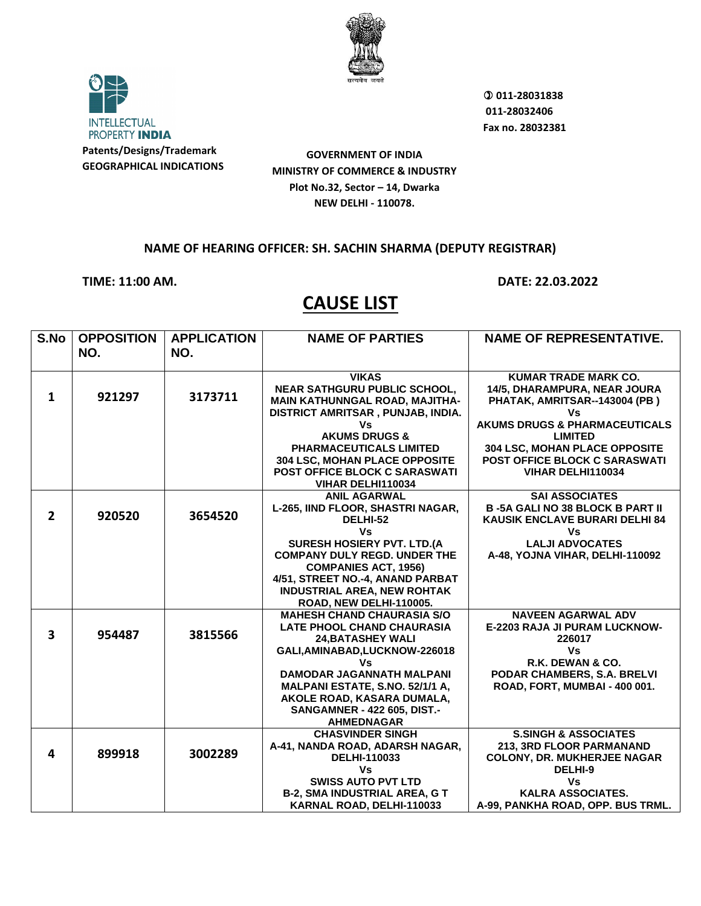

**INTELLECTUAL** PROPERTY INDIA **Patents/Designs/Trademark**

**GEOGRAPHICAL INDICATIONS**

**GOVERNMENT OF INDIA MINISTRY OF COMMERCE & INDUSTRY Plot No.32, Sector – 14, Dwarka NEW DELHI - 110078.**

## **NAME OF HEARING OFFICER: SH. SACHIN SHARMA (DEPUTY REGISTRAR)**

**TIME: 11:00 AM. DATE: 22.03.2022**

|                                                                                  | <b>NAME OF REPRESENTATIVE.</b>                             |
|----------------------------------------------------------------------------------|------------------------------------------------------------|
| NO.<br>NO.                                                                       |                                                            |
|                                                                                  |                                                            |
| <b>VIKAS</b>                                                                     | <b>KUMAR TRADE MARK CO.</b>                                |
| <b>NEAR SATHGURU PUBLIC SCHOOL,</b><br>921297<br>3173711<br>$\mathbf{1}$         | 14/5, DHARAMPURA, NEAR JOURA                               |
| MAIN KATHUNNGAL ROAD, MAJITHA-                                                   | PHATAK, AMRITSAR--143004 (PB)                              |
| DISTRICT AMRITSAR, PUNJAB, INDIA.                                                | Vs                                                         |
| ٧s<br><b>AKUMS DRUGS &amp;</b>                                                   | <b>AKUMS DRUGS &amp; PHARMACEUTICALS</b><br><b>LIMITED</b> |
| <b>PHARMACEUTICALS LIMITED</b>                                                   | 304 LSC, MOHAN PLACE OPPOSITE                              |
| 304 LSC, MOHAN PLACE OPPOSITE                                                    | POST OFFICE BLOCK C SARASWATI                              |
| <b>POST OFFICE BLOCK C SARASWATI</b>                                             | VIHAR DELHI110034                                          |
| VIHAR DELHI110034                                                                |                                                            |
| <b>ANIL AGARWAL</b>                                                              | <b>SAI ASSOCIATES</b>                                      |
| L-265, IIND FLOOR, SHASTRI NAGAR,                                                | <b>B-5A GALI NO 38 BLOCK B PART II</b>                     |
| $\overline{2}$<br>920520<br>3654520<br>DELHI-52                                  | <b>KAUSIK ENCLAVE BURARI DELHI 84</b>                      |
| Vs                                                                               | ٧s                                                         |
| <b>SURESH HOSIERY PVT. LTD.(A</b>                                                | <b>LALJI ADVOCATES</b>                                     |
| <b>COMPANY DULY REGD. UNDER THE</b>                                              | A-48, YOJNA VIHAR, DELHI-110092                            |
| <b>COMPANIES ACT, 1956)</b>                                                      |                                                            |
| 4/51, STREET NO.-4, ANAND PARBAT                                                 |                                                            |
| <b>INDUSTRIAL AREA, NEW ROHTAK</b>                                               |                                                            |
| ROAD, NEW DELHI-110005.<br><b>MAHESH CHAND CHAURASIA S/O</b>                     | <b>NAVEEN AGARWAL ADV</b>                                  |
| <b>LATE PHOOL CHAND CHAURASIA</b>                                                | E-2203 RAJA JI PURAM LUCKNOW-                              |
| $\overline{\mathbf{3}}$<br>954487<br>3815566<br><b>24, BATASHEY WALI</b>         | 226017                                                     |
| GALI, AMINABAD, LUCKNOW-226018                                                   | Vs                                                         |
| Vs.                                                                              | R.K. DEWAN & CO.                                           |
| <b>DAMODAR JAGANNATH MALPANI</b>                                                 | PODAR CHAMBERS, S.A. BRELVI                                |
| MALPANI ESTATE, S.NO. 52/1/1 A,                                                  | ROAD, FORT, MUMBAI - 400 001.                              |
| AKOLE ROAD, KASARA DUMALA,                                                       |                                                            |
| <b>SANGAMNER - 422 605, DIST.-</b>                                               |                                                            |
| <b>AHMEDNAGAR</b>                                                                |                                                            |
| <b>CHASVINDER SINGH</b>                                                          | <b>S.SINGH &amp; ASSOCIATES</b>                            |
| A-41, NANDA ROAD, ADARSH NAGAR,<br>3002289<br>4<br>899918<br><b>DELHI-110033</b> | 213, 3RD FLOOR PARMANAND                                   |
| Vs                                                                               | <b>COLONY, DR. MUKHERJEE NAGAR</b><br>DELHI-9              |
| <b>SWISS AUTO PVT LTD</b>                                                        | Vs                                                         |
| <b>B-2, SMA INDUSTRIAL AREA, G T</b>                                             | <b>KALRA ASSOCIATES.</b>                                   |
| KARNAL ROAD, DELHI-110033                                                        | A-99, PANKHA ROAD, OPP. BUS TRML.                          |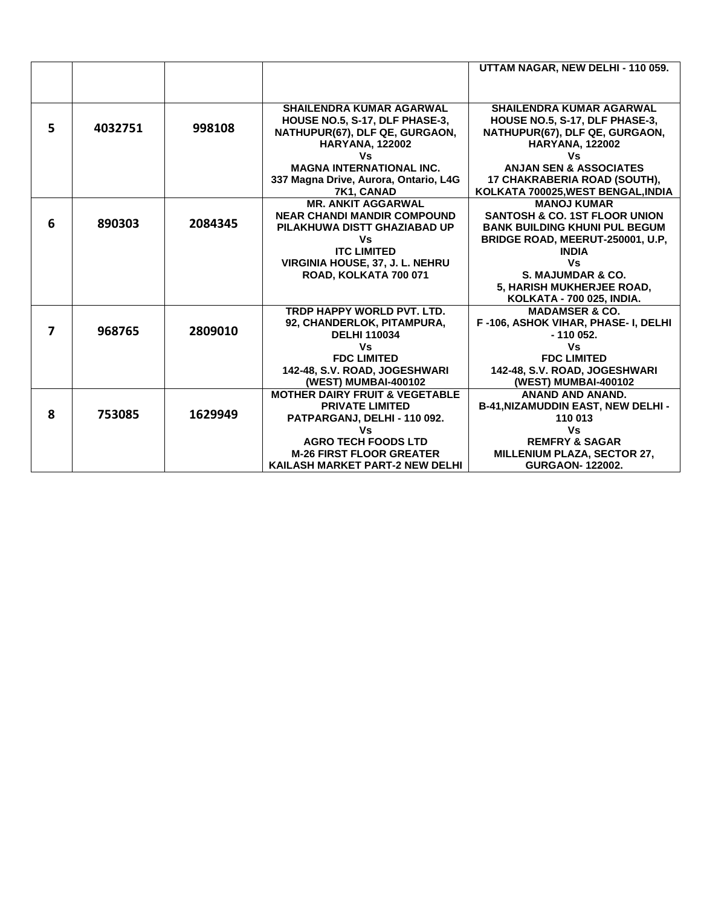|   |         |         |                                           | UTTAM NAGAR, NEW DELHI - 110 059.         |
|---|---------|---------|-------------------------------------------|-------------------------------------------|
|   |         |         |                                           |                                           |
|   |         |         |                                           |                                           |
|   |         |         | <b>SHAILENDRA KUMAR AGARWAL</b>           | <b>SHAILENDRA KUMAR AGARWAL</b>           |
|   |         |         | HOUSE NO.5, S-17, DLF PHASE-3,            | HOUSE NO.5, S-17, DLF PHASE-3,            |
| 5 | 4032751 | 998108  | NATHUPUR(67), DLF QE, GURGAON,            | NATHUPUR(67), DLF QE, GURGAON,            |
|   |         |         | <b>HARYANA, 122002</b>                    | <b>HARYANA, 122002</b>                    |
|   |         |         | Vs                                        | Vs                                        |
|   |         |         | <b>MAGNA INTERNATIONAL INC.</b>           | <b>ANJAN SEN &amp; ASSOCIATES</b>         |
|   |         |         | 337 Magna Drive, Aurora, Ontario, L4G     | 17 CHAKRABERIA ROAD (SOUTH),              |
|   |         |         | 7K1, CANAD                                | KOLKATA 700025, WEST BENGAL, INDIA        |
|   |         |         | <b>MR. ANKIT AGGARWAL</b>                 | <b>MANOJ KUMAR</b>                        |
|   |         |         | <b>NEAR CHANDI MANDIR COMPOUND</b>        | <b>SANTOSH &amp; CO. 1ST FLOOR UNION</b>  |
| 6 | 890303  | 2084345 | PILAKHUWA DISTT GHAZIABAD UP              | <b>BANK BUILDING KHUNI PUL BEGUM</b>      |
|   |         |         | Vs                                        | BRIDGE ROAD, MEERUT-250001, U.P.          |
|   |         |         | <b>ITC LIMITED</b>                        | <b>INDIA</b>                              |
|   |         |         | VIRGINIA HOUSE, 37, J. L. NEHRU           | Vs                                        |
|   |         |         | ROAD, KOLKATA 700 071                     | S. MAJUMDAR & CO.                         |
|   |         |         |                                           | 5, HARISH MUKHERJEE ROAD,                 |
|   |         |         |                                           | <b>KOLKATA - 700 025. INDIA.</b>          |
|   |         |         | TRDP HAPPY WORLD PVT. LTD.                | <b>MADAMSER &amp; CO.</b>                 |
| 7 | 968765  | 2809010 | 92, CHANDERLOK, PITAMPURA,                | F-106, ASHOK VIHAR, PHASE- I, DELHI       |
|   |         |         | <b>DELHI 110034</b>                       | $-110052.$                                |
|   |         |         | Vs                                        | Vs                                        |
|   |         |         | <b>FDC LIMITED</b>                        | <b>FDC LIMITED</b>                        |
|   |         |         | 142-48, S.V. ROAD, JOGESHWARI             | 142-48, S.V. ROAD, JOGESHWARI             |
|   |         |         | (WEST) MUMBAI-400102                      | (WEST) MUMBAI-400102                      |
|   |         |         | <b>MOTHER DAIRY FRUIT &amp; VEGETABLE</b> | <b>ANAND AND ANAND.</b>                   |
| 8 | 753085  | 1629949 | <b>PRIVATE LIMITED</b>                    | <b>B-41, NIZAMUDDIN EAST, NEW DELHI -</b> |
|   |         |         | PATPARGANJ, DELHI - 110 092.              | 110 013                                   |
|   |         |         | Vs                                        | ٧s                                        |
|   |         |         | <b>AGRO TECH FOODS LTD</b>                | <b>REMFRY &amp; SAGAR</b>                 |
|   |         |         | <b>M-26 FIRST FLOOR GREATER</b>           | <b>MILLENIUM PLAZA, SECTOR 27,</b>        |
|   |         |         | KAILASH MARKET PART-2 NEW DELHI           | <b>GURGAON-122002.</b>                    |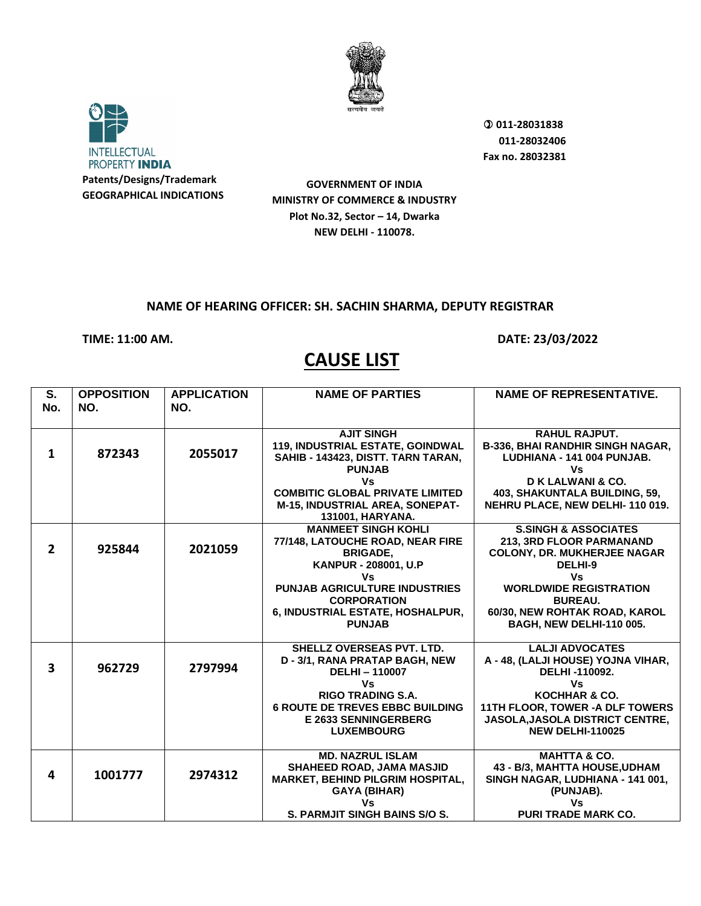



**GOVERNMENT OF INDIA MINISTRY OF COMMERCE & INDUSTRY Plot No.32, Sector – 14, Dwarka NEW DELHI - 110078.**

## **NAME OF HEARING OFFICER: SH. SACHIN SHARMA, DEPUTY REGISTRAR**

**TIME: 11:00 AM. DATE: 23/03/2022** 

| No.<br>NO.<br>NO.<br><b>AJIT SINGH</b><br><b>RAHUL RAJPUT.</b><br>119, INDUSTRIAL ESTATE, GOINDWAL<br>872343<br>2055017<br>$\mathbf{1}$<br>SAHIB - 143423, DISTT. TARN TARAN,<br>LUDHIANA - 141 004 PUNJAB.<br><b>PUNJAB</b><br>Vs<br>D K LALWANI & CO.<br>Vs<br><b>COMBITIC GLOBAL PRIVATE LIMITED</b><br>403, SHAKUNTALA BUILDING, 59,<br><b>M-15, INDUSTRIAL AREA, SONEPAT-</b><br>NEHRU PLACE, NEW DELHI-110 019.<br>131001, HARYANA.<br><b>S.SINGH &amp; ASSOCIATES</b><br><b>MANMEET SINGH KOHLI</b><br>77/148, LATOUCHE ROAD, NEAR FIRE<br>213, 3RD FLOOR PARMANAND<br>$\overline{2}$<br>925844<br>2021059<br><b>COLONY, DR. MUKHERJEE NAGAR</b><br><b>BRIGADE,</b><br>KANPUR - 208001, U.P<br>DELHI-9<br>Vs<br>Vs<br><b>PUNJAB AGRICULTURE INDUSTRIES</b><br><b>WORLDWIDE REGISTRATION</b><br><b>CORPORATION</b><br><b>BUREAU.</b><br>60/30, NEW ROHTAK ROAD, KAROL<br>6, INDUSTRIAL ESTATE, HOSHALPUR,<br><b>PUNJAB</b><br><b>BAGH, NEW DELHI-110 005.</b><br><b>LALJI ADVOCATES</b><br><b>SHELLZ OVERSEAS PVT. LTD.</b> | S. | <b>OPPOSITION</b> | <b>APPLICATION</b> | <b>NAME OF PARTIES</b>         | <b>NAME OF REPRESENTATIVE.</b>         |
|-----------------------------------------------------------------------------------------------------------------------------------------------------------------------------------------------------------------------------------------------------------------------------------------------------------------------------------------------------------------------------------------------------------------------------------------------------------------------------------------------------------------------------------------------------------------------------------------------------------------------------------------------------------------------------------------------------------------------------------------------------------------------------------------------------------------------------------------------------------------------------------------------------------------------------------------------------------------------------------------------------------------------------------|----|-------------------|--------------------|--------------------------------|----------------------------------------|
|                                                                                                                                                                                                                                                                                                                                                                                                                                                                                                                                                                                                                                                                                                                                                                                                                                                                                                                                                                                                                                   |    |                   |                    |                                |                                        |
|                                                                                                                                                                                                                                                                                                                                                                                                                                                                                                                                                                                                                                                                                                                                                                                                                                                                                                                                                                                                                                   |    |                   |                    |                                |                                        |
|                                                                                                                                                                                                                                                                                                                                                                                                                                                                                                                                                                                                                                                                                                                                                                                                                                                                                                                                                                                                                                   |    |                   |                    |                                |                                        |
|                                                                                                                                                                                                                                                                                                                                                                                                                                                                                                                                                                                                                                                                                                                                                                                                                                                                                                                                                                                                                                   |    |                   |                    |                                | B-336, BHAI RANDHIR SINGH NAGAR,       |
|                                                                                                                                                                                                                                                                                                                                                                                                                                                                                                                                                                                                                                                                                                                                                                                                                                                                                                                                                                                                                                   |    |                   |                    |                                |                                        |
|                                                                                                                                                                                                                                                                                                                                                                                                                                                                                                                                                                                                                                                                                                                                                                                                                                                                                                                                                                                                                                   |    |                   |                    |                                |                                        |
|                                                                                                                                                                                                                                                                                                                                                                                                                                                                                                                                                                                                                                                                                                                                                                                                                                                                                                                                                                                                                                   |    |                   |                    |                                |                                        |
|                                                                                                                                                                                                                                                                                                                                                                                                                                                                                                                                                                                                                                                                                                                                                                                                                                                                                                                                                                                                                                   |    |                   |                    |                                |                                        |
|                                                                                                                                                                                                                                                                                                                                                                                                                                                                                                                                                                                                                                                                                                                                                                                                                                                                                                                                                                                                                                   |    |                   |                    |                                |                                        |
|                                                                                                                                                                                                                                                                                                                                                                                                                                                                                                                                                                                                                                                                                                                                                                                                                                                                                                                                                                                                                                   |    |                   |                    |                                |                                        |
|                                                                                                                                                                                                                                                                                                                                                                                                                                                                                                                                                                                                                                                                                                                                                                                                                                                                                                                                                                                                                                   |    |                   |                    |                                |                                        |
|                                                                                                                                                                                                                                                                                                                                                                                                                                                                                                                                                                                                                                                                                                                                                                                                                                                                                                                                                                                                                                   |    |                   |                    |                                |                                        |
|                                                                                                                                                                                                                                                                                                                                                                                                                                                                                                                                                                                                                                                                                                                                                                                                                                                                                                                                                                                                                                   |    |                   |                    |                                |                                        |
|                                                                                                                                                                                                                                                                                                                                                                                                                                                                                                                                                                                                                                                                                                                                                                                                                                                                                                                                                                                                                                   |    |                   |                    |                                |                                        |
|                                                                                                                                                                                                                                                                                                                                                                                                                                                                                                                                                                                                                                                                                                                                                                                                                                                                                                                                                                                                                                   |    |                   |                    |                                |                                        |
|                                                                                                                                                                                                                                                                                                                                                                                                                                                                                                                                                                                                                                                                                                                                                                                                                                                                                                                                                                                                                                   |    |                   |                    |                                |                                        |
|                                                                                                                                                                                                                                                                                                                                                                                                                                                                                                                                                                                                                                                                                                                                                                                                                                                                                                                                                                                                                                   |    |                   |                    |                                |                                        |
|                                                                                                                                                                                                                                                                                                                                                                                                                                                                                                                                                                                                                                                                                                                                                                                                                                                                                                                                                                                                                                   |    |                   |                    |                                |                                        |
|                                                                                                                                                                                                                                                                                                                                                                                                                                                                                                                                                                                                                                                                                                                                                                                                                                                                                                                                                                                                                                   |    |                   |                    |                                |                                        |
|                                                                                                                                                                                                                                                                                                                                                                                                                                                                                                                                                                                                                                                                                                                                                                                                                                                                                                                                                                                                                                   |    |                   |                    |                                |                                        |
|                                                                                                                                                                                                                                                                                                                                                                                                                                                                                                                                                                                                                                                                                                                                                                                                                                                                                                                                                                                                                                   |    |                   |                    | D - 3/1, RANA PRATAP BAGH, NEW | A - 48, (LALJI HOUSE) YOJNA VIHAR,     |
| $\overline{\mathbf{3}}$<br>962729<br>2797994<br>DELHI-110007<br>DELHI-110092.                                                                                                                                                                                                                                                                                                                                                                                                                                                                                                                                                                                                                                                                                                                                                                                                                                                                                                                                                     |    |                   |                    |                                |                                        |
| <b>Vs</b><br>Vs                                                                                                                                                                                                                                                                                                                                                                                                                                                                                                                                                                                                                                                                                                                                                                                                                                                                                                                                                                                                                   |    |                   |                    |                                |                                        |
| KOCHHAR & CO.<br><b>RIGO TRADING S.A.</b>                                                                                                                                                                                                                                                                                                                                                                                                                                                                                                                                                                                                                                                                                                                                                                                                                                                                                                                                                                                         |    |                   |                    |                                |                                        |
| <b>6 ROUTE DE TREVES EBBC BUILDING</b>                                                                                                                                                                                                                                                                                                                                                                                                                                                                                                                                                                                                                                                                                                                                                                                                                                                                                                                                                                                            |    |                   |                    |                                | 11TH FLOOR, TOWER - A DLF TOWERS       |
| <b>E 2633 SENNINGERBERG</b>                                                                                                                                                                                                                                                                                                                                                                                                                                                                                                                                                                                                                                                                                                                                                                                                                                                                                                                                                                                                       |    |                   |                    |                                | <b>JASOLA, JASOLA DISTRICT CENTRE,</b> |
| <b>NEW DELHI-110025</b><br><b>LUXEMBOURG</b>                                                                                                                                                                                                                                                                                                                                                                                                                                                                                                                                                                                                                                                                                                                                                                                                                                                                                                                                                                                      |    |                   |                    |                                |                                        |
| <b>MD. NAZRUL ISLAM</b><br><b>MAHTTA &amp; CO.</b>                                                                                                                                                                                                                                                                                                                                                                                                                                                                                                                                                                                                                                                                                                                                                                                                                                                                                                                                                                                |    |                   |                    |                                |                                        |
| SHAHEED ROAD, JAMA MASJID<br>43 - B/3, MAHTTA HOUSE, UDHAM                                                                                                                                                                                                                                                                                                                                                                                                                                                                                                                                                                                                                                                                                                                                                                                                                                                                                                                                                                        |    |                   |                    |                                |                                        |
| 1001777<br>2974312<br>4<br>MARKET, BEHIND PILGRIM HOSPITAL,                                                                                                                                                                                                                                                                                                                                                                                                                                                                                                                                                                                                                                                                                                                                                                                                                                                                                                                                                                       |    |                   |                    |                                | SINGH NAGAR, LUDHIANA - 141 001,       |
| <b>GAYA (BIHAR)</b><br>(PUNJAB).                                                                                                                                                                                                                                                                                                                                                                                                                                                                                                                                                                                                                                                                                                                                                                                                                                                                                                                                                                                                  |    |                   |                    |                                |                                        |
| Vs<br>٧s                                                                                                                                                                                                                                                                                                                                                                                                                                                                                                                                                                                                                                                                                                                                                                                                                                                                                                                                                                                                                          |    |                   |                    |                                |                                        |
| <b>S. PARMJIT SINGH BAINS S/O S.</b><br><b>PURI TRADE MARK CO.</b>                                                                                                                                                                                                                                                                                                                                                                                                                                                                                                                                                                                                                                                                                                                                                                                                                                                                                                                                                                |    |                   |                    |                                |                                        |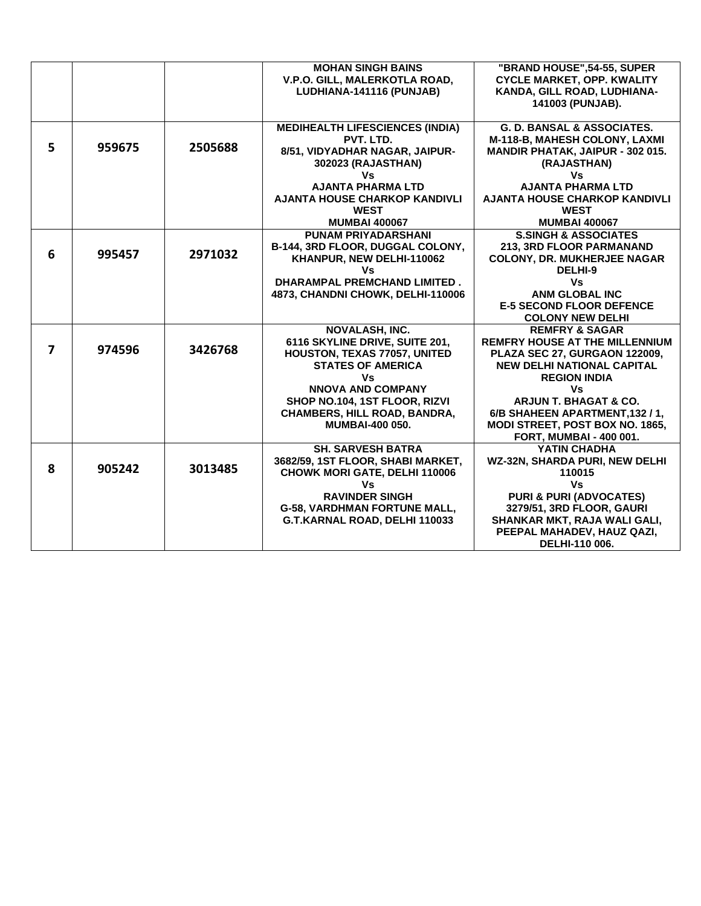|   |        |         | <b>MOHAN SINGH BAINS</b>               | "BRAND HOUSE", 54-55, SUPER           |
|---|--------|---------|----------------------------------------|---------------------------------------|
|   |        |         | V.P.O. GILL, MALERKOTLA ROAD,          | <b>CYCLE MARKET, OPP. KWALITY</b>     |
|   |        |         | LUDHIANA-141116 (PUNJAB)               | KANDA, GILL ROAD, LUDHIANA-           |
|   |        |         |                                        | 141003 (PUNJAB).                      |
|   |        |         |                                        |                                       |
|   |        |         | <b>MEDIHEALTH LIFESCIENCES (INDIA)</b> | <b>G. D. BANSAL &amp; ASSOCIATES.</b> |
|   |        |         | PVT. LTD.                              | M-118-B, MAHESH COLONY, LAXMI         |
| 5 | 959675 | 2505688 | 8/51, VIDYADHAR NAGAR, JAIPUR-         | MANDIR PHATAK, JAIPUR - 302 015.      |
|   |        |         | 302023 (RAJASTHAN)                     | (RAJASTHAN)                           |
|   |        |         | Vs                                     | Vs                                    |
|   |        |         | <b>AJANTA PHARMA LTD</b>               | <b>AJANTA PHARMA LTD</b>              |
|   |        |         | <b>AJANTA HOUSE CHARKOP KANDIVLI</b>   | <b>AJANTA HOUSE CHARKOP KANDIVLI</b>  |
|   |        |         | <b>WEST</b>                            | <b>WEST</b>                           |
|   |        |         | <b>MUMBAI 400067</b>                   | <b>MUMBAI 400067</b>                  |
|   |        |         | <b>PUNAM PRIYADARSHANI</b>             | <b>S.SINGH &amp; ASSOCIATES</b>       |
|   |        |         | B-144, 3RD FLOOR, DUGGAL COLONY,       | 213, 3RD FLOOR PARMANAND              |
| 6 | 995457 | 2971032 | KHANPUR, NEW DELHI-110062              | <b>COLONY, DR. MUKHERJEE NAGAR</b>    |
|   |        |         | Vs                                     | DELHI-9                               |
|   |        |         | <b>DHARAMPAL PREMCHAND LIMITED.</b>    | Vs                                    |
|   |        |         | 4873, CHANDNI CHOWK, DELHI-110006      | <b>ANM GLOBAL INC</b>                 |
|   |        |         |                                        | <b>E-5 SECOND FLOOR DEFENCE</b>       |
|   |        |         |                                        | <b>COLONY NEW DELHI</b>               |
|   |        |         | <b>NOVALASH, INC.</b>                  | <b>REMFRY &amp; SAGAR</b>             |
|   |        |         | 6116 SKYLINE DRIVE, SUITE 201,         | <b>REMFRY HOUSE AT THE MILLENNIUM</b> |
| 7 | 974596 | 3426768 | HOUSTON, TEXAS 77057, UNITED           | PLAZA SEC 27, GURGAON 122009,         |
|   |        |         | <b>STATES OF AMERICA</b>               | <b>NEW DELHI NATIONAL CAPITAL</b>     |
|   |        |         | Vs                                     | <b>REGION INDIA</b>                   |
|   |        |         | <b>NNOVA AND COMPANY</b>               | Vs                                    |
|   |        |         | SHOP NO.104, 1ST FLOOR, RIZVI          | <b>ARJUN T. BHAGAT &amp; CO.</b>      |
|   |        |         | <b>CHAMBERS, HILL ROAD, BANDRA,</b>    | 6/B SHAHEEN APARTMENT, 132 / 1,       |
|   |        |         | <b>MUMBAI-400 050.</b>                 | MODI STREET, POST BOX NO. 1865,       |
|   |        |         |                                        | <b>FORT, MUMBAI - 400 001.</b>        |
|   |        |         | <b>SH. SARVESH BATRA</b>               | YATIN CHADHA                          |
|   |        |         | 3682/59, 1ST FLOOR, SHABI MARKET,      | WZ-32N, SHARDA PURI, NEW DELHI        |
| 8 | 905242 | 3013485 | <b>CHOWK MORI GATE, DELHI 110006</b>   | 110015                                |
|   |        |         | Vs                                     | <b>Vs</b>                             |
|   |        |         | <b>RAVINDER SINGH</b>                  | <b>PURI &amp; PURI (ADVOCATES)</b>    |
|   |        |         | <b>G-58, VARDHMAN FORTUNE MALL,</b>    | 3279/51, 3RD FLOOR, GAURI             |
|   |        |         | G.T.KARNAL ROAD, DELHI 110033          | SHANKAR MKT, RAJA WALI GALI,          |
|   |        |         |                                        | PEEPAL MAHADEV, HAUZ QAZI,            |
|   |        |         |                                        | DELHI-110 006.                        |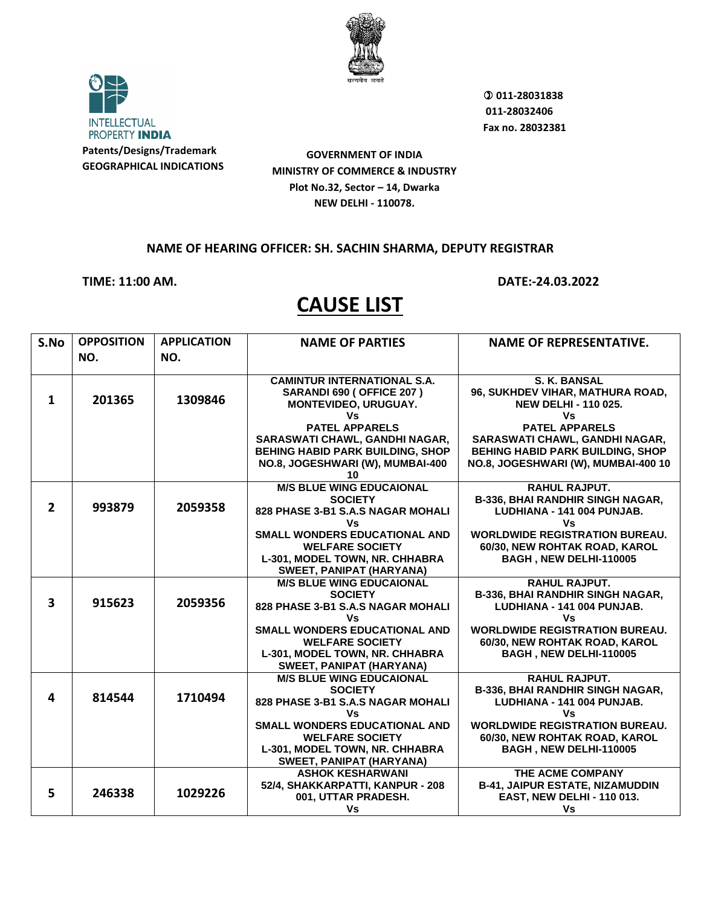

**INTELLECTUAL** PROPERTY INDIA **Patents/Designs/Trademark GEOGRAPHICAL INDICATIONS**

**GOVERNMENT OF INDIA MINISTRY OF COMMERCE & INDUSTRY Plot No.32, Sector – 14, Dwarka NEW DELHI - 110078.**

#### **NAME OF HEARING OFFICER: SH. SACHIN SHARMA, DEPUTY REGISTRAR**

**TIME: 11:00 AM. DATE:-24.03.2022**

| S.No           | <b>OPPOSITION</b> | <b>APPLICATION</b> | <b>NAME OF PARTIES</b>                              | <b>NAME OF REPRESENTATIVE.</b>                                 |
|----------------|-------------------|--------------------|-----------------------------------------------------|----------------------------------------------------------------|
|                | NO.               | NO.                |                                                     |                                                                |
|                |                   |                    |                                                     |                                                                |
|                |                   |                    | <b>CAMINTUR INTERNATIONAL S.A.</b>                  | S. K. BANSAL                                                   |
|                |                   |                    | SARANDI 690 (OFFICE 207)                            | 96, SUKHDEV VIHAR, MATHURA ROAD,                               |
| $\mathbf 1$    | 201365            | 1309846            | MONTEVIDEO, URUGUAY.                                | <b>NEW DELHI - 110 025.</b>                                    |
|                |                   |                    | Vs                                                  | Vs                                                             |
|                |                   |                    | <b>PATEL APPARELS</b>                               | <b>PATEL APPARELS</b>                                          |
|                |                   |                    | SARASWATI CHAWL, GANDHI NAGAR,                      | SARASWATI CHAWL, GANDHI NAGAR,                                 |
|                |                   |                    | <b>BEHING HABID PARK BUILDING, SHOP</b>             | <b>BEHING HABID PARK BUILDING, SHOP</b>                        |
|                |                   |                    | NO.8, JOGESHWARI (W), MUMBAI-400                    | NO.8, JOGESHWARI (W), MUMBAI-400 10                            |
|                |                   |                    | 10                                                  |                                                                |
|                |                   |                    | <b>M/S BLUE WING EDUCAIONAL</b>                     | <b>RAHUL RAJPUT.</b>                                           |
| $\overline{2}$ | 993879            | 2059358            | <b>SOCIETY</b><br>828 PHASE 3-B1 S.A.S NAGAR MOHALI | B-336, BHAI RANDHIR SINGH NAGAR,<br>LUDHIANA - 141 004 PUNJAB. |
|                |                   |                    | ٧s                                                  | Vs                                                             |
|                |                   |                    | SMALL WONDERS EDUCATIONAL AND                       | <b>WORLDWIDE REGISTRATION BUREAU.</b>                          |
|                |                   |                    | <b>WELFARE SOCIETY</b>                              | 60/30, NEW ROHTAK ROAD, KAROL                                  |
|                |                   |                    | L-301, MODEL TOWN, NR. CHHABRA                      | BAGH, NEW DELHI-110005                                         |
|                |                   |                    | SWEET, PANIPAT (HARYANA)                            |                                                                |
|                |                   |                    | <b>M/S BLUE WING EDUCAIONAL</b>                     | <b>RAHUL RAJPUT.</b>                                           |
|                |                   |                    | <b>SOCIETY</b>                                      | B-336, BHAI RANDHIR SINGH NAGAR,                               |
| $\mathbf{3}$   | 915623            | 2059356            | 828 PHASE 3-B1 S.A.S NAGAR MOHALI                   | LUDHIANA - 141 004 PUNJAB.                                     |
|                |                   |                    | Vs                                                  | Vs                                                             |
|                |                   |                    | <b>SMALL WONDERS EDUCATIONAL AND</b>                | <b>WORLDWIDE REGISTRATION BUREAU.</b>                          |
|                |                   |                    | <b>WELFARE SOCIETY</b>                              | 60/30, NEW ROHTAK ROAD, KAROL                                  |
|                |                   |                    | L-301, MODEL TOWN, NR. CHHABRA                      | BAGH, NEW DELHI-110005                                         |
|                |                   |                    | SWEET, PANIPAT (HARYANA)                            |                                                                |
|                |                   |                    | <b>M/S BLUE WING EDUCAIONAL</b>                     | <b>RAHUL RAJPUT.</b>                                           |
| 4              | 814544            | 1710494            | <b>SOCIETY</b>                                      | B-336, BHAI RANDHIR SINGH NAGAR,                               |
|                |                   |                    | 828 PHASE 3-B1 S.A.S NAGAR MOHALI<br>٧s             | LUDHIANA - 141 004 PUNJAB.<br><b>Vs</b>                        |
|                |                   |                    | <b>SMALL WONDERS EDUCATIONAL AND</b>                | <b>WORLDWIDE REGISTRATION BUREAU.</b>                          |
|                |                   |                    | <b>WELFARE SOCIETY</b>                              | 60/30, NEW ROHTAK ROAD, KAROL                                  |
|                |                   |                    | L-301, MODEL TOWN, NR. CHHABRA                      | BAGH, NEW DELHI-110005                                         |
|                |                   |                    | SWEET, PANIPAT (HARYANA)                            |                                                                |
|                |                   |                    | <b>ASHOK KESHARWANI</b>                             | THE ACME COMPANY                                               |
|                |                   |                    | 52/4, SHAKKARPATTI, KANPUR - 208                    | <b>B-41, JAIPUR ESTATE, NIZAMUDDIN</b>                         |
| 5              | 246338            | 1029226            | 001, UTTAR PRADESH.                                 | <b>EAST, NEW DELHI - 110 013.</b>                              |
|                |                   |                    | Vs                                                  | Vs                                                             |